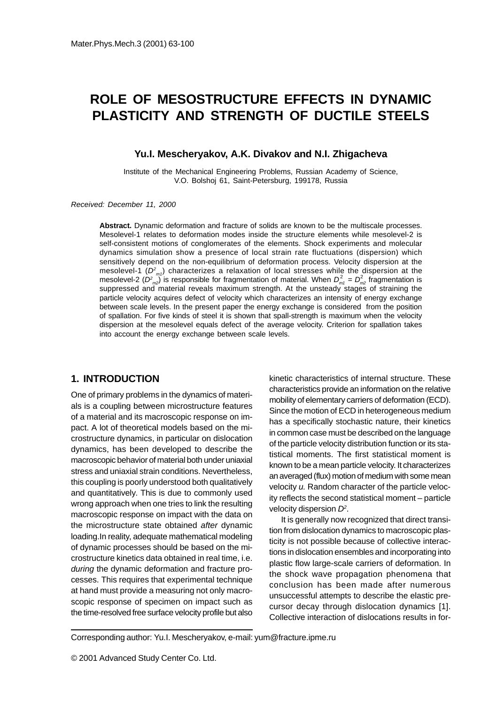# **ROLE OF MESOSTRUCTURE EFFECTS IN DYNAMIC PLASTICITY AND STRENGTH OF DUCTILE STEELS**

#### **Yu.I. Mescheryakov, A.K. Divakov and N.I. Zhigacheva**

Institute of the Mechanical Engineering Problems, Russian Academy of Science, V.O. Bolshoj 61, Saint-Petersburg, 199178, Russia

Received: December 11, 2000

**Abstract.** Dynamic deformation and fracture of solids are known to be the multiscale processes. Mesolevel-1 relates to deformation modes inside the structure elements while mesolevel-2 is self-consistent motions of conglomerates of the elements. Shock experiments and molecular dynamics simulation show a presence of local strain rate fluctuations (dispersion) which sensitively depend on the non-equilibrium of deformation process. Velocity dispersion at the mesolevel-1  $(D^2_{m1})$  characterizes a relaxation of local stresses while the dispersion at the mesolevel-2 ( $D^2_{m2}$ ) is responsible for fragmentation of material. When  $D^2_{m1} = D^2_{m2}$  fragmentation is suppressed and material reveals maximum strength. At the unsteady stages of straining the particle velocity acquires defect of velocity which characterizes an intensity of energy exchange between scale levels. In the present paper the energy exchange is considered from the position of spallation. For five kinds of steel it is shown that spall-strength is maximum when the velocity dispersion at the mesolevel equals defect of the average velocity. Criterion for spallation takes into account the energy exchange between scale levels.

### **1. INTRODUCTION**

One of primary problems in the dynamics of materials is a coupling between microstructure features of a material and its macroscopic response on impact. A lot of theoretical models based on the microstructure dynamics, in particular on dislocation dynamics, has been developed to describe the macroscopic behavior of material both under uniaxial stress and uniaxial strain conditions. Nevertheless, this coupling is poorly understood both qualitatively and quantitatively. This is due to commonly used wrong approach when one tries to link the resulting macroscopic response on impact with the data on the microstructure state obtained after dynamic loading.In reality, adequate mathematical modeling of dynamic processes should be based on the microstructure kinetics data obtained in real time, i.e. during the dynamic deformation and fracture processes. This requires that experimental technique at hand must provide a measuring not only macroscopic response of specimen on impact such as the time-resolved free surface velocity profile but also

kinetic characteristics of internal structure. These characteristics provide an information on the relative mobility of elementary carriers of deformation (ECD). Since the motion of ECD in heterogeneous medium has a specifically stochastic nature, their kinetics in common case must be described on the language of the particle velocity distribution function or its statistical moments. The first statistical moment is known to be a mean particle velocity. It characterizes an averaged (flux) motion of medium with some mean velocity u. Random character of the particle velocity reflects the second statistical moment – particle velocity dispersion  $D^2$ .

It is generally now recognized that direct transition from dislocation dynamics to macroscopic plasticity is not possible because of collective interactions in dislocation ensembles and incorporating into plastic flow large-scale carriers of deformation. In the shock wave propagation phenomena that conclusion has been made after numerous unsuccessful attempts to describe the elastic precursor decay through dislocation dynamics [1]. Collective interaction of dislocations results in for-

Corresponding author: Yu.I. Mescheryakov, e-mail: yum@fracture.ipme.ru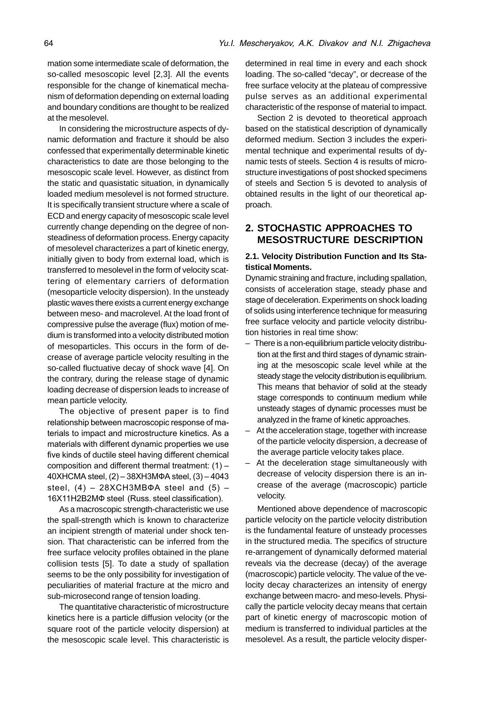mation some intermediate scale of deformation, the so-called mesoscopic level [2,3]. All the events responsible for the change of kinematical mechanism of deformation depending on external loading and boundary conditions are thought to be realized at the mesolevel.

In considering the microstructure aspects of dynamic deformation and fracture it should be also confessed that experimentally determinable kinetic characteristics to date are those belonging to the mesoscopic scale level. However, as distinct from the static and quasistatic situation, in dynamically loaded medium mesolevel is not formed structure. It is specifically transient structure where a scale of ECD and energy capacity of mesoscopic scale level currently change depending on the degree of nonsteadiness of deformation process. Energy capacity of mesolevel characterizes a part of kinetic energy, initially given to body from external load, which is transferred to mesolevel in the form of velocity scattering of elementary carriers of deformation (mesoparticle velocity dispersion). In the unsteady plastic waves there exists a current energy exchange between meso- and macrolevel. At the load front of compressive pulse the average (flux) motion of medium is transformed into a velocity distributed motion of mesoparticles. This occurs in the form of decrease of average particle velocity resulting in the so-called fluctuative decay of shock wave [4]. On the contrary, during the release stage of dynamic loading decrease of dispersion leads to increase of mean particle velocity.

The objective of present paper is to find relationship between macroscopic response of materials to impact and microstructure kinetics. As a materials with different dynamic properties we use five kinds of ductile steel having different chemical composition and different thermal treatment:  $(1)$  –  $40X$ HCMA steel,  $(2) - 38X$ H3M $\Phi$ A steel,  $(3) - 4043$ steel,  $(4)$  - 28XCH3MB $\Phi$ A steel and  $(5)$  -16X11H2B2MФ steel (Russ. steel classification).

As a macroscopic strength-characteristic we use the spall-strength which is known to characterize an incipient strength of material under shock tension. That characteristic can be inferred from the free surface velocity profiles obtained in the plane collision tests [5]. To date a study of spallation seems to be the only possibility for investigation of peculiarities of material fracture at the micro and sub-microsecond range of tension loading.

The quantitative characteristic of microstructure kinetics here is a particle diffusion velocity (or the square root of the particle velocity dispersion) at the mesoscopic scale level. This characteristic is

determined in real time in every and each shock loading. The so-called "decay", or decrease of the free surface velocity at the plateau of compressive pulse serves as an additional experimental characteristic of the response of material to impact.

Section 2 is devoted to theoretical approach based on the statistical description of dynamically deformed medium. Section 3 includes the experimental technique and experimental results of dynamic tests of steels. Section 4 is results of microstructure investigations of post shocked specimens of steels and Section 5 is devoted to analysis of obtained results in the light of our theoretical approach.

# **2. STOCHASTIC APPROACHES TO MESOSTRUCTURE DESCRIPTION**

#### **2.1. Velocity Distribution Function and Its Statistical Moments.**

Dynamic straining and fracture, including spallation, consists of acceleration stage, steady phase and stage of deceleration. Experiments on shock loading of solids using interference technique for measuring free surface velocity and particle velocity distribution histories in real time show:

- There is a non-equilibrium particle velocity distribution at the first and third stages of dynamic straining at the mesoscopic scale level while at the steady stage the velocity distribution is equilibrium. This means that behavior of solid at the steady stage corresponds to continuum medium while unsteady stages of dynamic processes must be analyzed in the frame of kinetic approaches.
- At the acceleration stage, together with increase of the particle velocity dispersion, a decrease of the average particle velocity takes place.
- At the deceleration stage simultaneously with decrease of velocity dispersion there is an increase of the average (macroscopic) particle velocity.

Mentioned above dependence of macroscopic particle velocity on the particle velocity distribution is the fundamental feature of unsteady processes in the structured media. The specifics of structure re-arrangement of dynamically deformed material reveals via the decrease (decay) of the average (macroscopic) particle velocity. The value of the velocity decay characterizes an intensity of energy exchange between macro- and meso-levels. Physically the particle velocity decay means that certain part of kinetic energy of macroscopic motion of medium is transferred to individual particles at the mesolevel. As a result, the particle velocity disper-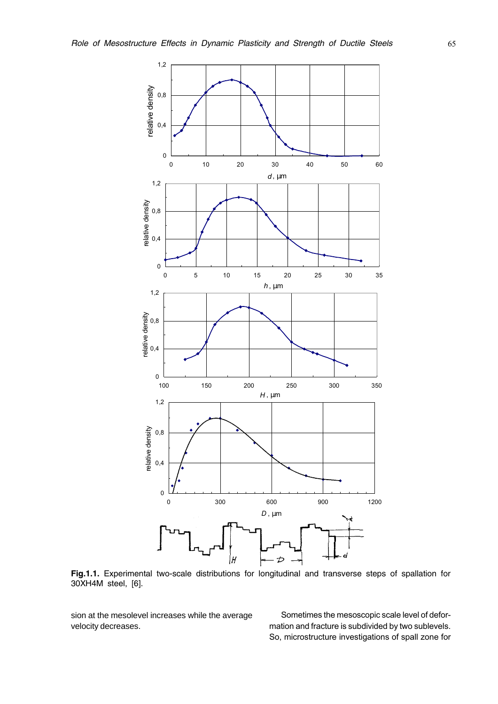

Fig.1.1. Experimental two-scale distributions for longitudinal and transverse steps of spallation for 30XH4M steel, [6].

sion at the mesolevel increases while the average velocity decreases.

Sometimes the mesoscopic scale level of deformation and fracture is subdivided by two sublevels. So, microstructure investigations of spall zone for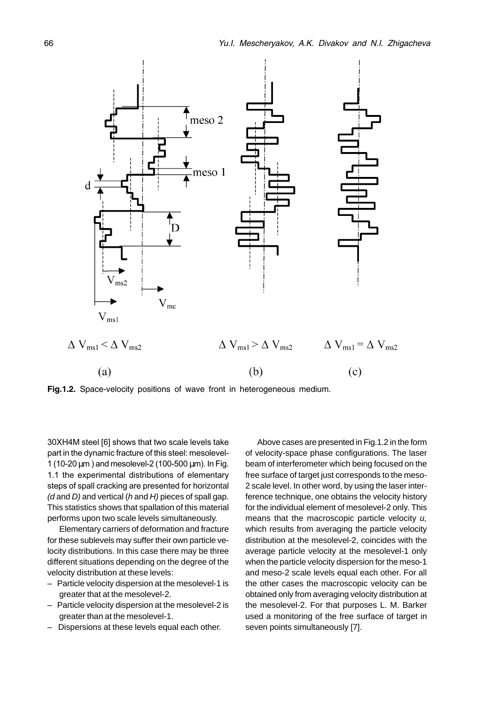

Fig.1.2. Space-velocity positions of wave front in heterogeneous medium.

30XH4M steel [6] shows that two scale levels take part in the dynamic fracture of this steel: mesolevel-1 (10-20 μm) and mesolevel-2 (100-500 μm). In Fig. 1.1 the experimental distributions of elementary steps of spall cracking are presented for horizontal  $(d \text{ and } D)$  and vertical  $(h \text{ and } H)$  pieces of spall gap. This statistics shows that spallation of this material performs upon two scale levels simultaneously.

Elementary carriers of deformation and fracture for these sublevels may suffer their own particle velocity distributions. In this case there may be three different situations depending on the degree of the velocity distribution at these levels:

- Particle velocity dispersion at the mesolevel-1 is greater that at the mesolevel-2.
- Particle velocity dispersion at the mesolevel-2 is greater than at the mesolevel-1.
- Dispersions at these levels equal each other.

Above cases are presented in Fig.1.2 in the form of velocity-space phase configurations. The laser beam of interferometer which being focused on the free surface of target just corresponds to the meso-2 scale level. In other word, by using the laser interference technique, one obtains the velocity history for the individual element of mesolevel-2 only. This means that the macroscopic particle velocity  $u$ , which results from averaging the particle velocity distribution at the mesolevel-2, coincides with the average particle velocity at the mesolevel-1 only when the particle velocity dispersion for the meso-1 and meso-2 scale levels equal each other. For all the other cases the macroscopic velocity can be obtained only from averaging velocity distribution at the mesolevel-2. For that purposes L. M. Barker used a monitoring of the free surface of target in seven points simultaneously [7].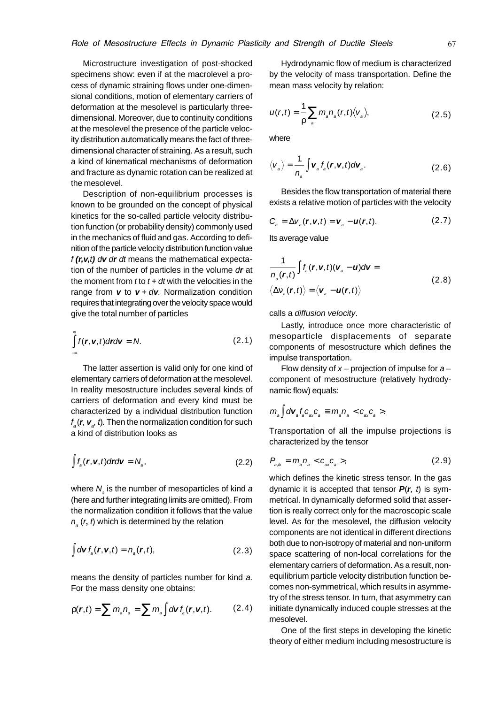Microstructure investigation of post-shocked specimens show: even if at the macrolevel a process of dynamic straining flows under one-dimensional conditions, motion of elementary carriers of deformation at the mesolevel is particularly threedimensional. Moreover, due to continuity conditions at the mesolevel the presence of the particle velocity distribution automatically means the fact of threedimensional character of straining. As a result, such a kind of kinematical mechanisms of deformation and fracture as dynamic rotation can be realized at the mesolevel.

Description of non-equilibrium processes is known to be grounded on the concept of physical kinetics for the so-called particle velocity distribution function (or probability density) commonly used in the mechanics of fluid and gas. According to definition of the particle velocity distribution function value f **(r,v,**t**)** d**v** d**r** dt means the mathematical expectation of the number of particles in the volume d**r** at the moment from  $t$  to  $t + dt$  with the velocities in the range from  $v$  to  $v + dv$ . Normalization condition requires that integrating over the velocity space would give the total number of particles

$$
\int_{-\infty}^{\infty} f(\mathbf{r}, \mathbf{v}, t) d\mathbf{r} d\mathbf{v} = N.
$$
 (2.1)

The latter assertion is valid only for one kind of elementary carriers of deformation at the mesolevel. In reality mesostructure includes several kinds of carriers of deformation and every kind must be characterized by a individual distribution function  $f_{\scriptscriptstyle a}(\textbf{\textit{r}},\textbf{\textit{v}}_{\scriptscriptstyle a},t)$ . Then the normalization condition for such a kind of distribution looks as

$$
\int f_a(\mathbf{r}, \mathbf{v}, t) d\mathbf{r} d\mathbf{v} = N_a,
$$
\n(2.2)

where  $N_{_{\scriptscriptstyle{\beta}}}$  is the number of mesoparticles of kind a (here and further integrating limits are omitted). From the normalization condition it follows that the value  $n_{\rm a}$  (r, t) which is determined by the relation

$$
\int d\mathbf{v} \, f_a(\mathbf{r}, \mathbf{v}, t) = n_a(\mathbf{r}, t), \tag{2.3}
$$

means the density of particles number for kind a. For the mass density one obtains:

$$
\rho(\boldsymbol{r},t)=\sum m_{a}n_{a}=\sum m_{a}\int d\mathbf{v} f_{a}(\boldsymbol{r},\mathbf{v},t). \qquad (2.4)
$$

Hydrodynamic flow of medium is characterized by the velocity of mass transportation. Define the mean mass velocity by relation:

$$
u(r,t) = \frac{1}{\rho} \sum_{a} m_a n_a(r,t) \langle v_a \rangle, \qquad (2.5)
$$

where

$$
\langle v_{a} \rangle = \frac{1}{n_{a}} \int \mathbf{v}_{a} f_{a}(\mathbf{r}, \mathbf{v}, t) d\mathbf{v}_{a}.
$$
 (2.6)

Besides the flow transportation of material there exists a relative motion of particles with the velocity

$$
C_{a} = \Delta V_{a}(\mathbf{r}, \mathbf{v}, t) = \mathbf{v}_{a} - \mathbf{u}(\mathbf{r}, t). \qquad (2.7)
$$

Its average value

$$
\frac{1}{n_a(\mathbf{r},t)}\int f_a(\mathbf{r},\mathbf{v},t)(\mathbf{v}_a-\mathbf{u})d\mathbf{v} =
$$
\n
$$
\langle \Delta v_a(\mathbf{r},t) \rangle = \langle \mathbf{v}_a - \mathbf{u}(\mathbf{r},t) \rangle
$$
\n(2.8)

calls a diffusion velocity.

Lastly, introduce once more characteristic of mesoparticle displacements of separate components of mesostructure which defines the impulse transportation.

Flow density of  $x$  – projection of impulse for  $a$  – component of mesostructure (relatively hydrodynamic flow) equals:

$$
m_a \int d\mathbf{V}_a f_a \mathbf{C}_{ax} \mathbf{C}_a \equiv m_a n_a < \mathbf{C}_{ax} \mathbf{C}_a > .
$$

Transportation of all the impulse projections is characterized by the tensor

$$
P_{a_{a}} = m_{a} n_{a} < c_{ax} c_{a} > \tag{2.9}
$$

which defines the kinetic stress tensor. In the gas dynamic it is accepted that tensor  $P(r, t)$  is symmetrical. In dynamically deformed solid that assertion is really correct only for the macroscopic scale level. As for the mesolevel, the diffusion velocity components are not identical in different directions both due to non-isotropy of material and non-uniform space scattering of non-local correlations for the elementary carriers of deformation. As a result, nonequilibrium particle velocity distribution function becomes non-symmetrical, which results in asymmetry of the stress tensor. In turn, that asymmetry can initiate dynamically induced couple stresses at the mesolevel.

One of the first steps in developing the kinetic theory of either medium including mesostructure is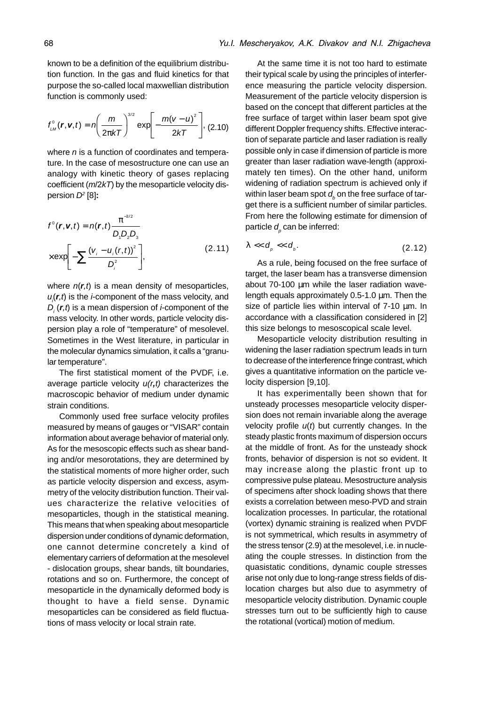known to be a definition of the equilibrium distribution function. In the gas and fluid kinetics for that purpose the so-called local maxwellian distribution function is commonly used:

$$
f_{LM}^{0}(\bm{r},\bm{v},t)=n\left(\frac{m}{2\pi kT}\right)^{3/2}\exp\left[-\frac{m(v-u)^{2}}{2kT}\right],
$$
 (2.10)

where *n* is a function of coordinates and temperature. In the case of mesostructure one can use an analogy with kinetic theory of gases replacing coefficient ( $m/2kT$ ) by the mesoparticle velocity dispersion D2 [8]**:**

$$
f^{o}(\boldsymbol{r}, \boldsymbol{v}, t) = n(\boldsymbol{r}, t) \frac{\pi^{-3/2}}{D_{\eta} D_{2} D_{3}}
$$

$$
\times \exp\left[-\sum \frac{(\boldsymbol{v}_{i} - \boldsymbol{u}_{i}(\boldsymbol{r}, t))^{2}}{D_{i}^{2}}\right],
$$
(2.11)

where  $n(r,t)$  is a mean density of mesoparticles,  $u_j(r,t)$  is the *i*-component of the mass velocity, and  $D_i(r,t)$  is a mean dispersion of *i*-component of the mass velocity. In other words, particle velocity dispersion play a role of "temperature" of mesolevel. Sometimes in the West literature, in particular in the molecular dynamics simulation, it calls a "granular temperature".

The first statistical moment of the PVDF, i.e. average particle velocity u(r**,**t) characterizes the macroscopic behavior of medium under dynamic strain conditions.

Commonly used free surface velocity profiles measured by means of gauges or "VISAR" contain information about average behavior of material only. As for the mesoscopic effects such as shear banding and/or mesorotations, they are determined by the statistical moments of more higher order, such as particle velocity dispersion and excess, asymmetry of the velocity distribution function. Their values characterize the relative velocities of mesoparticles, though in the statistical meaning. This means that when speaking about mesoparticle dispersion under conditions of dynamic deformation, one cannot determine concretely a kind of elementary carriers of deformation at the mesolevel - dislocation groups, shear bands, tilt boundaries, rotations and so on. Furthermore, the concept of mesoparticle in the dynamically deformed body is thought to have a field sense. Dynamic mesoparticles can be considered as field fluctuations of mass velocity or local strain rate.

At the same time it is not too hard to estimate their typical scale by using the principles of interference measuring the particle velocity dispersion. Measurement of the particle velocity dispersion is based on the concept that different particles at the free surface of target within laser beam spot give different Doppler frequency shifts. Effective interaction of separate particle and laser radiation is really possible only in case if dimension of particle is more greater than laser radiation wave-length (approximately ten times). On the other hand, uniform widening of radiation spectrum is achieved only if within laser beam spot  $d_{\!{}_b}$  on the free surface of target there is a sufficient number of similar particles. From here the following estimate for dimension of particle  $d<sub>p</sub>$  can be inferred:

$$
\lambda \ll d_{\rho} \ll d_{\rho}.\tag{2.12}
$$

As a rule, being focused on the free surface of target, the laser beam has a transverse dimension about 70-100 µm while the laser radiation wavelength equals approximately 0.5-1.0 µm. Then the size of particle lies within interval of  $7-10 \mu m$ . In accordance with a classification considered in [2] this size belongs to mesoscopical scale level.

Mesoparticle velocity distribution resulting in widening the laser radiation spectrum leads in turn to decrease of the interference fringe contrast, which gives a quantitative information on the particle velocity dispersion [9,10].

It has experimentally been shown that for unsteady processes mesoparticle velocity dispersion does not remain invariable along the average velocity profile  $u(t)$  but currently changes. In the steady plastic fronts maximum of dispersion occurs at the middle of front. As for the unsteady shock fronts, behavior of dispersion is not so evident. It may increase along the plastic front up to compressive pulse plateau. Mesostructure analysis of specimens after shock loading shows that there exists a correlation between meso-PVD and strain localization processes. In particular, the rotational (vortex) dynamic straining is realized when PVDF is not symmetrical, which results in asymmetry of the stress tensor (2.9) at the mesolevel, i.e. in nucleating the couple stresses. In distinction from the quasistatic conditions, dynamic couple stresses arise not only due to long-range stress fields of dislocation charges but also due to asymmetry of mesoparticle velocity distribution. Dynamic couple stresses turn out to be sufficiently high to cause the rotational (vortical) motion of medium.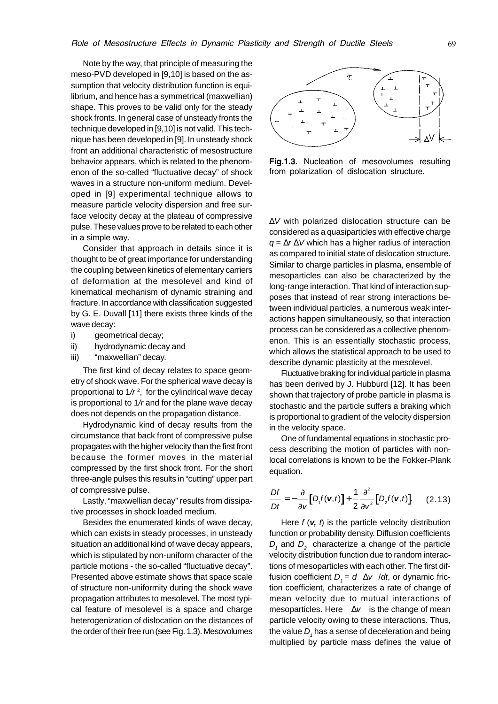Note by the way, that principle of measuring the meso-PVD developed in [9,10] is based on the assumption that velocity distribution function is equilibrium, and hence has a symmetrical (maxwellian) shape. This proves to be valid only for the steady shock fronts. In general case of unsteady fronts the technique developed in [9,10] is not valid. This technique has been developed in [9]. In unsteady shock front an additional characteristic of mesostructure behavior appears, which is related to the phenomenon of the so-called "fluctuative decay" of shock waves in a structure non-uniform medium. Developed in [9] experimental technique allows to measure particle velocity dispersion and free surface velocity decay at the plateau of compressive pulse. These values prove to be related to each other in a simple way.

Consider that approach in details since it is thought to be of great importance for understanding the coupling between kinetics of elementary carriers of deformation at the mesolevel and kind of kinematical mechanism of dynamic straining and fracture. In accordance with classification suggested by G. E. Duvall [11] there exists three kinds of the wave decay:

- i) aeometrical decay;
- ii) hydrodynamic decay and
- iii) "maxwellian" decay.

The first kind of decay relates to space geometry of shock wave. For the spherical wave decay is proportional to 1/ $r^2$ , for the cylindrical wave decay is proportional to  $1/r$  and for the plane wave decay does not depends on the propagation distance.

Hydrodynamic kind of decay results from the circumstance that back front of compressive pulse propagates with the higher velocity than the first front because the former moves in the material compressed by the first shock front. For the short three-angle pulses this results in "cutting" upper part of compressive pulse.

Lastly, "maxwellian decay" results from dissipative processes in shock loaded medium.

Besides the enumerated kinds of wave decay, which can exists in steady processes, in unsteady situation an additional kind of wave decay appears, which is stipulated by non-uniform character of the particle motions - the so-called "fluctuative decay". Presented above estimate shows that space scale of structure non-uniformity during the shock wave propagation attributes to mesolevel. The most typical feature of mesolevel is a space and charge heterogenization of dislocation on the distances of the order of their free run (see Fig. 1.3). Mesovolumes



Fig.1.3. Nucleation of mesovolumes resulting from polarization of dislocation structure.

∆V with polarized dislocation structure can be considered as a quasiparticles with effective charge  $q = \Delta r \Delta V$  which has a higher radius of interaction as compared to initial state of dislocation structure. Similar to charge particles in plasma, ensemble of mesoparticles can also be characterized by the long-range interaction. That kind of interaction supposes that instead of rear strong interactions between individual particles, a numerous weak interactions happen simultaneously, so that interaction process can be considered as a collective phenomenon. This is an essentially stochastic process, which allows the statistical approach to be used to describe dynamic plasticity at the mesolevel.

Fluctuative braking for individual particle in plasma has been derived by J. Hubburd [12]. It has been shown that trajectory of probe particle in plasma is stochastic and the particle suffers a braking which is proportional to gradient of the velocity dispersion in the velocity space.

One of fundamental equations in stochastic process describing the motion of particles with nonlocal correlations is known to be the Fokker-Plank equation.

$$
\frac{Df}{Dt} = -\frac{\partial}{\partial v} \Big[ D_{\rm t} f(\mathbf{v}, t) \Big] + \frac{1}{2} \frac{\partial^2}{\partial v^2} \Big[ D_{\rm 2} f(\mathbf{v}, t) \Big]. \tag{2.13}
$$

Here  $f(\mathbf{v}, t)$  is the particle velocity distribution function or probability density. Diffusion coefficients  $D<sub>1</sub>$  and  $D<sub>2</sub>$  characterize a change of the particle velocity distribution function due to random interactions of mesoparticles with each other. The first diffusion coefficient  $D_1 = d \langle \Delta v \rangle / dt$ , or dynamic friction coefficient, characterizes a rate of change of mean velocity due to mutual interactions of mesoparticles. Here  $\langle \Delta v \rangle$  is the change of mean particle velocity owing to these interactions. Thus, the value  $D<sub>r</sub>$  has a sense of deceleration and being multiplied by particle mass defines the value of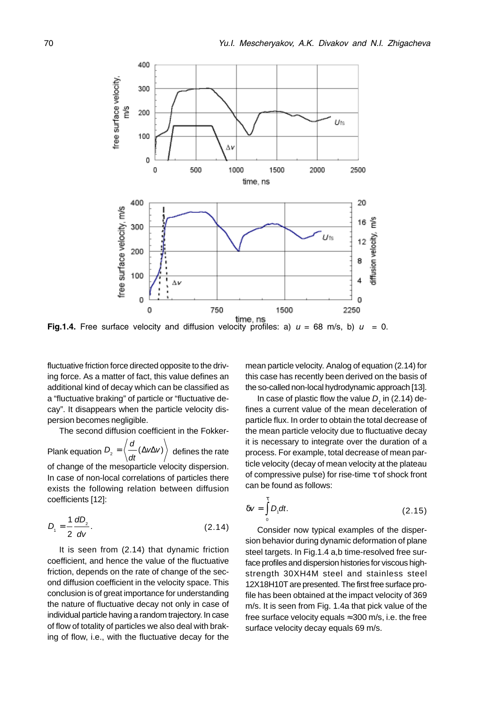

**Fig.1.4.** Free surface velocity and diffusion velocity profiles: a)  $u = 68$  m/s, b)  $u = 0$ .

fluctuative friction force directed opposite to the driving force. As a matter of fact, this value defines an additional kind of decay which can be classified as a "fluctuative braking" of particle or "fluctuative decay". It disappears when the particle velocity dispersion becomes negligible.

The second diffusion coefficient in the Fokker-

Plank equation  $D_2 = \left(\frac{a}{b}\right)$  $\dot{Q}_2 = \left\langle \frac{\partial}{\partial t} (\Delta V \Delta V) \right\rangle$  defines the rate of change of the mesoparticle velocity dispersion. In case of non-local correlations of particles there exists the following relation between diffusion coefficients [12]:

$$
D_{1} = \frac{1}{2} \frac{dD_{2}}{dV}.
$$
 (2.14)

It is seen from (2.14) that dynamic friction coefficient, and hence the value of the fluctuative friction, depends on the rate of change of the second diffusion coefficient in the velocity space. This conclusion is of great importance for understanding the nature of fluctuative decay not only in case of individual particle having a random trajectory. In case of flow of totality of particles we also deal with braking of flow, i.e., with the fluctuative decay for the

mean particle velocity. Analog of equation (2.14) for this case has recently been derived on the basis of the so-called non-local hydrodynamic approach [13].

In case of plastic flow the value  $D<sub>i</sub>$  in (2.14) defines a current value of the mean deceleration of particle flux. In order to obtain the total decrease of the mean particle velocity due to fluctuative decay it is necessary to integrate over the duration of a process. For example, total decrease of mean particle velocity (decay of mean velocity at the plateau of compressive pulse) for rise-time τ of shock front can be found as follows:

$$
\delta v = \int_{0}^{t} D_{t} dt.
$$
 (2.15)

Consider now typical examples of the dispersion behavior during dynamic deformation of plane steel targets. In Fig.1.4 a,b time-resolved free surface profiles and dispersion histories for viscous highstrength 30XH4M steel and stainless steel 12X18H10T are presented. The first free surface profile has been obtained at the impact velocity of 369 m/s. It is seen from Fig. 1.4a that pick value of the free surface velocity equals  $\approx 300$  m/s, i.e. the free surface velocity decay equals 69 m/s.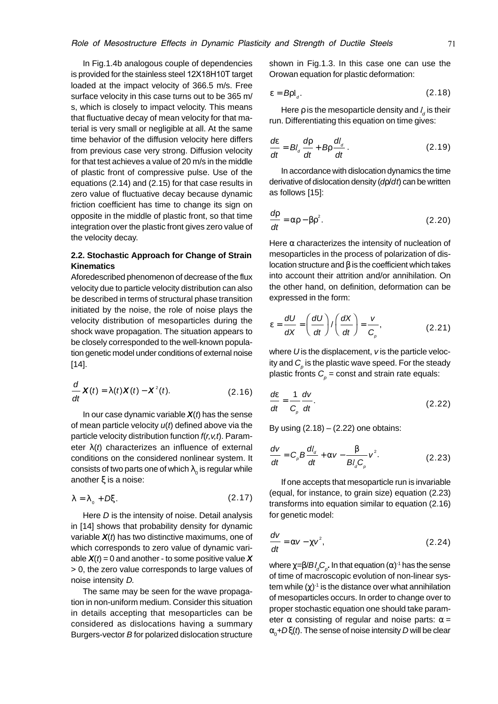In Fig.1.4b analogous couple of dependencies is provided for the stainless steel  $12X18H10T$  target loaded at the impact velocity of 366.5 m/s. Free surface velocity in this case turns out to be 365 m/ s, which is closely to impact velocity. This means that fluctuative decay of mean velocity for that material is very small or negligible at all. At the same time behavior of the diffusion velocity here differs from previous case very strong. Diffusion velocity for that test achieves a value of 20 m/s in the middle of plastic front of compressive pulse. Use of the equations (2.14) and (2.15) for that case results in zero value of fluctuative decay because dynamic friction coefficient has time to change its sign on opposite in the middle of plastic front, so that time integration over the plastic front gives zero value of the velocity decay.

#### **2.2. Stochastic Approach for Change of Strain Kinematics**

Aforedescribed phenomenon of decrease of the flux velocity due to particle velocity distribution can also be described in terms of structural phase transition initiated by the noise, the role of noise plays the velocity distribution of mesoparticles during the shock wave propagation. The situation appears to be closely corresponded to the well-known population genetic model under conditions of external noise [14].

$$
\frac{d}{dt}\mathbf{X}(t) = \lambda(t)\mathbf{X}(t) - \mathbf{X}^2(t). \tag{2.16}
$$

In our case dynamic variable  $X(t)$  has the sense of mean particle velocity  $u(t)$  defined above via the particle velocity distribution function  $f(r, v, t)$ . Parameter  $\lambda(t)$  characterizes an influence of external conditions on the considered nonlinear system. It consists of two parts one of which  $\lambda_0$  is regular while another ξ is a noise:

$$
\lambda = \lambda_{0} + D\xi. \tag{2.17}
$$

Here D is the intensity of noise. Detail analysis in [14] shows that probability density for dynamic variable  $X(t)$  has two distinctive maximums, one of which corresponds to zero value of dynamic variable  $X(t) = 0$  and another - to some positive value X > 0, the zero value corresponds to large values of noise intensity D.

The same may be seen for the wave propagation in non-uniform medium. Consider this situation in details accepting that mesoparticles can be considered as dislocations having a summary Burgers-vector B for polarized dislocation structure shown in Fig.1.3. In this case one can use the Orowan equation for plastic deformation:

$$
\varepsilon = B \rho l_d. \tag{2.18}
$$

Here  $\rho$  is the mesoparticle density and  $l_d$  is their run. Differentiating this equation on time gives:

$$
\frac{d\varepsilon}{dt} = B l_a \frac{d\rho}{dt} + B \rho \frac{d l_a}{dt} \,. \tag{2.19}
$$

In accordance with dislocation dynamics the time derivative of dislocation density  $(dp/dt)$  can be written as follows [15]:

$$
\frac{d\rho}{dt} = \alpha \rho - \beta \rho^2.
$$
 (2.20)

Here  $\alpha$  characterizes the intensity of nucleation of mesoparticles in the process of polarization of dislocation structure and β is the coefficient which takes into account their attrition and/or annihilation. On the other hand, on definition, deformation can be expressed in the form:

$$
\varepsilon = \frac{dU}{dX} = \left(\frac{dU}{dt}\right) / \left(\frac{dX}{dt}\right) = \frac{v}{C_p},
$$
\n(2.21)

where  $U$  is the displacement,  $v$  is the particle velocity and  $\mathcal{C}_{{}_{\rho}}$  is the plastic wave speed. For the steady plastic fronts  $C_{p}$  = const and strain rate equals:

$$
\frac{d\varepsilon}{dt} = \frac{1}{C_{\rho}} \frac{dV}{dt}.
$$
\n(2.22)

By using  $(2.18) - (2.22)$  one obtains:

$$
\frac{dv}{dt} = C_{\rho}B\frac{dl_{d}}{dt} + \alpha v - \frac{\beta}{Bl_{d}C_{\rho}}v^{2}.
$$
 (2.23)

If one accepts that mesoparticle run is invariable (equal, for instance, to grain size) equation (2.23) transforms into equation similar to equation (2.16) for genetic model:

$$
\frac{dv}{dt} = \alpha v - \chi v^2, \qquad (2.24)
$$

where  $\chi$ =β/*Bl<sub>a</sub>C<sub>p</sub>*. In that equation (α)<sup>-1</sup> has the sense of time of macroscopic evolution of non-linear system while  $(χ)^{-1}$  is the distance over what annihilation of mesoparticles occurs. In order to change over to proper stochastic equation one should take parameter  $\alpha$  consisting of regular and noise parts:  $\alpha$  =  $\alpha_{_0}$ +Dξ(*t*). The sense of noise intensity *D* will be clear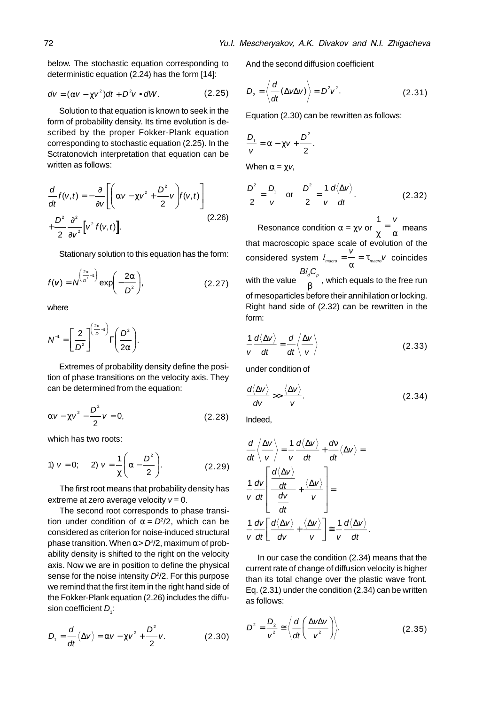below. The stochastic equation corresponding to deterministic equation (2.24) has the form [14]:

$$
dv = (\alpha v - \chi v^2)dt + D^2v \bullet dW.
$$
 (2.25)

Solution to that equation is known to seek in the form of probability density. Its time evolution is described by the proper Fokker-Plank equation corresponding to stochastic equation (2.25). In the Sctratonovich interpretation that equation can be written as follows:

$$
\frac{d}{dt}f(v,t) = -\frac{\partial}{\partial v} \left[ \left( \alpha v - \chi v^2 + \frac{D^2}{2} v \right) f(v,t) \right] + \frac{D^2}{2} \frac{\partial^2}{\partial v^2} \left[ v^2 f(v,t) \right].
$$
\n(2.26)

Stationary solution to this equation has the form:

$$
f(\mathbf{v}) = N^{\left(\frac{2\alpha}{D^2}-1\right)} \exp\left(-\frac{2\alpha}{D^2}\right),\tag{2.27}
$$

where

$$
N^{-1} = \left[\frac{2}{D^2}\right]^{\left(\frac{2\alpha}{D}-1\right)}\Gamma\left(\frac{D^2}{2\alpha}\right).
$$

Extremes of probability density define the position of phase transitions on the velocity axis. They can be determined from the equation:

$$
\alpha V - \chi V^2 - \frac{D^2}{2} V = 0, \qquad (2.28)
$$

which has two roots:

1) 
$$
v = 0;
$$
 2)  $v = \frac{1}{\chi} \left( \alpha - \frac{D^2}{2} \right).$  (2.29)

The first root means that probability density has extreme at zero average velocity  $v = 0$ .

The second root corresponds to phase transition under condition of  $\alpha = D^2/2$ , which can be considered as criterion for noise-induced structural phase transition. When  $\alpha$  >  $D^2/2$ , maximum of probability density is shifted to the right on the velocity axis. Now we are in position to define the physical sense for the noise intensity  $D<sup>2</sup>/2$ . For this purpose we remind that the first item in the right hand side of the Fokker-Plank equation (2.26) includes the diffusion coefficient  $D<sub>i</sub>$ :

$$
D_1 = \frac{d}{dt} \langle \Delta v \rangle = \alpha v - \chi v^2 + \frac{D^2}{2} v.
$$
 (2.30)

And the second diffusion coefficient

$$
D_2 = \left\langle \frac{d}{dt} (\Delta v \Delta v) \right\rangle = D^2 v^2.
$$
 (2.31)

Equation (2.30) can be rewritten as follows:

$$
\frac{D_{_1}}{v}=\alpha-\chi v+\frac{D^{^2}}{2}.
$$

When  $\alpha = \chi v$ ,

$$
\frac{D^2}{2} = \frac{D_1}{v} \quad \text{or} \quad \frac{D^2}{2} = \frac{1}{v} \frac{d\langle \Delta v \rangle}{dt}.
$$
 (2.32)

Resonance condition  $\alpha = \chi v$  or  $\frac{1}{\chi}$  =  $\frac{v}{\alpha}$  means that macroscopic space scale of evolution of the considered system  $l_{\text{macro}} = \frac{V}{V} = \tau_{\text{macro}}$ α  $\tau_{\text{macro}}$ ν coincides with the value  $Bl<sub>a</sub>$ C<sub>p</sub>  $\overline{\beta}$ , which equals to the free run of mesoparticles before their annihilation or locking. Right hand side of (2.32) can be rewritten in the form:

$$
\frac{1}{v}\frac{d\langle\Delta v\rangle}{dt} = \frac{d}{dt}\left\langle\frac{\Delta v}{v}\right\rangle
$$
 (2.33)

under condition of

$$
\frac{d\langle \Delta v \rangle}{dv} >> \frac{\langle \Delta v \rangle}{v}.
$$
 (2.34)

Indeed,

$$
\frac{d}{dt}\left\langle \frac{\Delta v}{v} \right\rangle = \frac{1}{v} \frac{d\langle \Delta v \rangle}{dt} + \frac{dv}{dt}\langle \Delta v \rangle =
$$
\n
$$
\frac{1}{v} \frac{dv}{dt} \left[ \frac{\frac{d\langle \Delta v \rangle}{dt}}{\frac{dv}{dt}} + \frac{\langle \Delta v \rangle}{v} \right] =
$$
\n
$$
\frac{1}{v} \frac{dv}{dt} \left[ \frac{d\langle \Delta v \rangle}{dv} + \frac{\langle \Delta v \rangle}{v} \right] \approx \frac{1}{v} \frac{d\langle \Delta v \rangle}{dt}.
$$

In our case the condition (2.34) means that the current rate of change of diffusion velocity is higher than its total change over the plastic wave front. Eq. (2.31) under the condition (2.34) can be written as follows:

$$
D^2 = \frac{D_2}{v^2} \cong \left\langle \frac{d}{dt} \left( \frac{\Delta v \Delta v}{v^2} \right) \right\rangle. \tag{2.35}
$$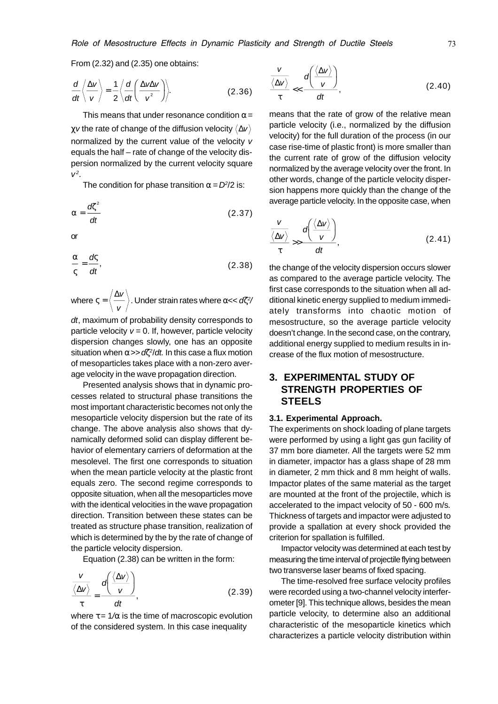From (2.32) and (2.35) one obtains:

$$
\frac{d}{dt}\left\langle \frac{\Delta v}{v} \right\rangle = \frac{1}{2}\left\langle \frac{d}{dt}\left(\frac{\Delta v \Delta v}{v^2}\right) \right\rangle.
$$
 (2.36)

This means that under resonance condition  $\alpha$  = χv the rate of change of the diffusion velocity ∆v normalized by the current value of the velocity v equals the half – rate of change of the velocity dispersion normalized by the current velocity square  $V^2$ .

The condition for phase transition  $\alpha = D^2/2$  is:

$$
\alpha = \frac{d\zeta^2}{dt} \tag{2.37}
$$

or

$$
\frac{\alpha}{\varsigma} = \frac{d\varsigma}{dt},\tag{2.38}
$$

where  $\varsigma = \left\langle \frac{\Delta \nu}{2} \right\rangle$ v . Under strain rates where  $\alpha < d\zeta^2$ 

dt, maximum of probability density corresponds to particle velocity  $v = 0$ . If, however, particle velocity dispersion changes slowly, one has an opposite situation when  $\alpha$ >>  $d\zeta^2/dt$ . In this case a flux motion of mesoparticles takes place with a non-zero average velocity in the wave propagation direction.

Presented analysis shows that in dynamic processes related to structural phase transitions the most important characteristic becomes not only the mesoparticle velocity dispersion but the rate of its change. The above analysis also shows that dynamically deformed solid can display different behavior of elementary carriers of deformation at the mesolevel. The first one corresponds to situation when the mean particle velocity at the plastic front equals zero. The second regime corresponds to opposite situation, when all the mesoparticles move with the identical velocities in the wave propagation direction. Transition between these states can be treated as structure phase transition, realization of which is determined by the by the rate of change of the particle velocity dispersion.

Equation (2.38) can be written in the form:

$$
\frac{\frac{V}{\langle \Delta V \rangle}}{\tau} = \frac{d\left(\frac{\langle \Delta V \rangle}{V}\right)}{dt},
$$
\n(2.39)

where  $\tau = 1/\alpha$  is the time of macroscopic evolution of the considered system. In this case inequality

$$
\frac{v}{\langle \Delta v \rangle} < \frac{d\left(\frac{\langle \Delta v \rangle}{v}\right)}{dt},\tag{2.40}
$$

means that the rate of grow of the relative mean particle velocity (i.e., normalized by the diffusion velocity) for the full duration of the process (in our case rise-time of plastic front) is more smaller than the current rate of grow of the diffusion velocity normalized by the average velocity over the front. In other words, change of the particle velocity dispersion happens more quickly than the change of the average particle velocity. In the opposite case, when

$$
\frac{v}{\langle \Delta v \rangle} \gg \frac{d\left(\frac{\langle \Delta v \rangle}{v}\right)}{dt},
$$
\n(2.41)

the change of the velocity dispersion occurs slower as compared to the average particle velocity. The first case corresponds to the situation when all additional kinetic energy supplied to medium immediately transforms into chaotic motion of mesostructure, so the average particle velocity doesn't change. In the second case, on the contrary, additional energy supplied to medium results in increase of the flux motion of mesostructure.

# **3. EXPERIMENTAL STUDY OF STRENGTH PROPERTIES OF STEELS**

#### **3.1. Experimental Approach.**

The experiments on shock loading of plane targets were performed by using a light gas gun facility of 37 mm bore diameter. All the targets were 52 mm in diameter, impactor has a glass shape of 28 mm in diameter, 2 mm thick and 8 mm height of walls. Impactor plates of the same material as the target are mounted at the front of the projectile, which is accelerated to the impact velocity of 50 - 600 m/s. Thickness of targets and impactor were adjusted to provide a spallation at every shock provided the criterion for spallation is fulfilled.

Impactor velocity was determined at each test by measuring the time interval of projectile flying between two transverse laser beams of fixed spacing.

The time-resolved free surface velocity profiles were recorded using a two-channel velocity interferometer [9]. This technique allows, besides the mean particle velocity, to determine also an additional characteristic of the mesoparticle kinetics which characterizes a particle velocity distribution within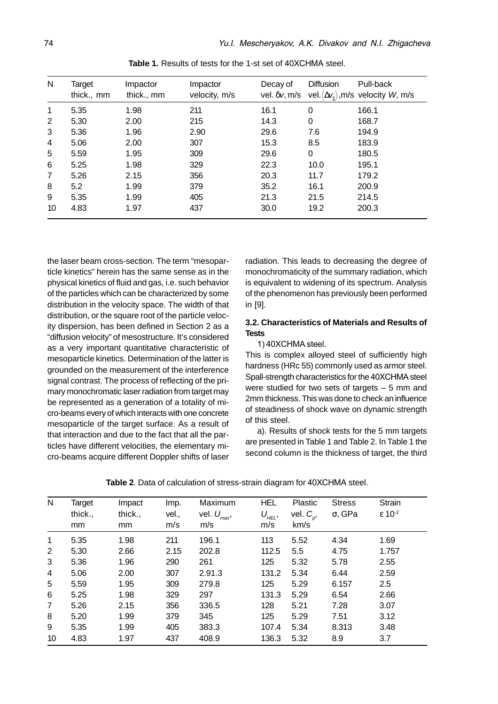| N  | Target<br>thick., mm | Impactor<br>thick., mm | Impactor<br>velocity, m/s | Decay of<br>vel. δ <i>v</i> , m/s | <b>Diffusion</b> | Pull-back<br>vel. $\langle \Delta v_1 \rangle$ , m/s velocity W, m/s |
|----|----------------------|------------------------|---------------------------|-----------------------------------|------------------|----------------------------------------------------------------------|
| 1  | 5.35                 | 1.98                   | 211                       | 16.1                              | $\mathbf 0$      | 166.1                                                                |
| 2  | 5.30                 | 2.00                   | 215                       | 14.3                              | 0                | 168.7                                                                |
| 3  | 5.36                 | 1.96                   | 2.90                      | 29.6                              | 7.6              | 194.9                                                                |
| 4  | 5.06                 | 2.00                   | 307                       | 15.3                              | 8.5              | 183.9                                                                |
| 5  | 5.59                 | 1.95                   | 309                       | 29.6                              | 0                | 180.5                                                                |
| 6  | 5.25                 | 1.98                   | 329                       | 22.3                              | 10.0             | 195.1                                                                |
| 7  | 5.26                 | 2.15                   | 356                       | 20.3                              | 11.7             | 179.2                                                                |
| 8  | 5.2                  | 1.99                   | 379                       | 35.2                              | 16.1             | 200.9                                                                |
| 9  | 5.35                 | 1.99                   | 405                       | 21.3                              | 21.5             | 214.5                                                                |
| 10 | 4.83                 | 1.97                   | 437                       | 30.0                              | 19.2             | 200.3                                                                |

**Table 1.** Results of tests for the 1-st set of 40XCHMA steel.

the laser beam cross-section. The term "mesoparticle kinetics" herein has the same sense as in the physical kinetics of fluid and gas, i.e. such behavior of the particles which can be characterized by some distribution in the velocity space. The width of that distribution, or the square root of the particle velocity dispersion, has been defined in Section 2 as a "diffusion velocity" of mesostructure. It's considered as a very important quantitative characteristic of mesoparticle kinetics. Determination of the latter is grounded on the measurement of the interference signal contrast. The process of reflecting of the primary monochromatic laser radiation from target may be represented as a generation of a totality of micro-beams every of which interacts with one concrete mesoparticle of the target surface. As a result of that interaction and due to the fact that all the particles have different velocities, the elementary micro-beams acquire different Doppler shifts of laser

radiation. This leads to decreasing the degree of monochromaticity of the summary radiation, which is equivalent to widening of its spectrum. Analysis of the phenomenon has previously been performed in [9].

#### **3.2. Characteristics of Materials and Results of Tests**

1) 40XCHMA steel.

This is complex alloyed steel of sufficiently high hardness (HRc 55) commonly used as armor steel. Spall-strength characteristics for the 40XCHMA steel were studied for two sets of targets – 5 mm and 2mm thickness. This was done to check an influence of steadiness of shock wave on dynamic strength of this steel.

a). Results of shock tests for the 5 mm targets are presented in Table 1 and Table 2. In Table 1 the second column is the thickness of target, the third

| N              | Target  | Impact  | Imp.  | Maximum                 | <b>HEL</b> | Plastic      | <b>Stress</b>  | Strain                      |
|----------------|---------|---------|-------|-------------------------|------------|--------------|----------------|-----------------------------|
|                | thick., | thick., | vel., | vel. $U_{\text{max}}$ , | $U_{HEL}$  | vel. $C_p$ , | $\sigma$ , GPa | $\epsilon$ 10 <sup>-2</sup> |
|                | mm      | mm      | m/s   | m/s                     | m/s        | km/s         |                |                             |
| 1              | 5.35    | 1.98    | 211   | 196.1                   | 113        | 5.52         | 4.34           | 1.69                        |
| 2              | 5.30    | 2.66    | 2.15  | 202.8                   | 112.5      | 5.5          | 4.75           | 1.757                       |
| 3              | 5.36    | 1.96    | 290   | 261                     | 125        | 5.32         | 5.78           | 2.55                        |
| 4              | 5.06    | 2.00    | 307   | 2.91.3                  | 131.2      | 5.34         | 6.44           | 2.59                        |
| 5              | 5.59    | 1.95    | 309   | 279.8                   | 125        | 5.29         | 6.157          | 2.5                         |
| 6              | 5.25    | 1.98    | 329   | 297                     | 131.3      | 5.29         | 6.54           | 2.66                        |
| $\overline{7}$ | 5.26    | 2.15    | 356   | 336.5                   | 128        | 5.21         | 7.28           | 3.07                        |
| 8              | 5.20    | 1.99    | 379   | 345                     | 125        | 5.29         | 7.51           | 3.12                        |
| 9              | 5.35    | 1.99    | 405   | 383.3                   | 107.4      | 5.34         | 8.313          | 3.48                        |
| 10             | 4.83    | 1.97    | 437   | 408.9                   | 136.3      | 5.32         | 8.9            | 3.7                         |

**Table 2.** Data of calculation of stress-strain diagram for 40XCHMA steel.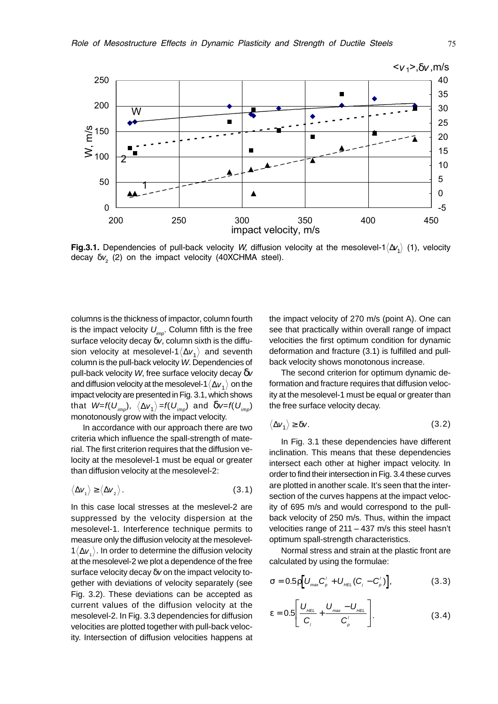

**Fig.3.1.** Dependencies of pull-back velocity W, diffusion velocity at the mesolevel-1 $\langle \Delta v_1 \rangle$  (1), velocity decay  $\delta v_{_2}$  (2) on the impact velocity (40XCHMA steel).

columns is the thickness of impactor, column fourth is the impact velocity  $U_{imp}$ . Column fifth is the free surface velocity decay  $\delta v$ , column sixth is the diffusion velocity at mesolevel-1 $\langle \Delta v_1 \rangle$  and seventh column is the pull-back velocity W. Dependencies of pull-back velocity W, free surface velocity decay  $\delta v$ and diffusion velocity at the mesolevel-1 $\langle \Delta v_1 \rangle$  on the impact velocity are presented in Fig. 3.1, which shows that  $W=f(U_{im})$ ,  $\langle \Delta v_1 \rangle =f(U_{im})$  and  $\delta v=f(U_{im})$ monotonously grow with the impact velocity.

In accordance with our approach there are two criteria which influence the spall-strength of material. The first criterion requires that the diffusion velocity at the mesolevel-1 must be equal or greater than diffusion velocity at the mesolevel-2:

$$
\langle \Delta v_1 \rangle \ge \langle \Delta v_2 \rangle. \tag{3.1}
$$

In this case local stresses at the meslevel-2 are suppressed by the velocity dispersion at the mesolevel-1. Interference technique permits to measure only the diffusion velocity at the mesolevel- $1\langle\Delta v\rangle$ . In order to determine the diffusion velocity at the mesolevel-2 we plot a dependence of the free surface velocity decay δv on the impact velocity together with deviations of velocity separately (see Fig. 3.2). These deviations can be accepted as current values of the diffusion velocity at the mesolevel-2. In Fig. 3.3 dependencies for diffusion velocities are plotted together with pull-back velocity. Intersection of diffusion velocities happens at the impact velocity of 270 m/s (point A). One can see that practically within overall range of impact velocities the first optimum condition for dynamic deformation and fracture (3.1) is fulfilled and pullback velocity shows monotonous increase.

The second criterion for optimum dynamic deformation and fracture requires that diffusion velocity at the mesolevel-1 must be equal or greater than the free surface velocity decay.

$$
\langle \Delta v_1 \rangle \ge \delta v. \tag{3.2}
$$

In Fig. 3.1 these dependencies have different inclination. This means that these dependencies intersect each other at higher impact velocity. In order to find their intersection in Fig. 3.4 these curves are plotted in another scale. It's seen that the intersection of the curves happens at the impact velocity of 695 m/s and would correspond to the pullback velocity of 250 m/s. Thus, within the impact velocities range of 211 – 437 m/s this steel hasn't optimum spall-strength characteristics.

Normal stress and strain at the plastic front are calculated by using the formulae:

$$
\sigma = 0.5 \rho \big[ U_{\text{max}} C_{\rho}^{\prime} + U_{\text{HEL}} (C_{\rho} - C_{\rho}^{\prime}) \big], \tag{3.3}
$$

$$
\varepsilon = 0.5 \left[ \frac{U_{\text{HEL}}}{C_{\text{I}}} + \frac{U_{\text{max}} - U_{\text{HEL}}}{C_{\text{P}}'} \right]. \tag{3.4}
$$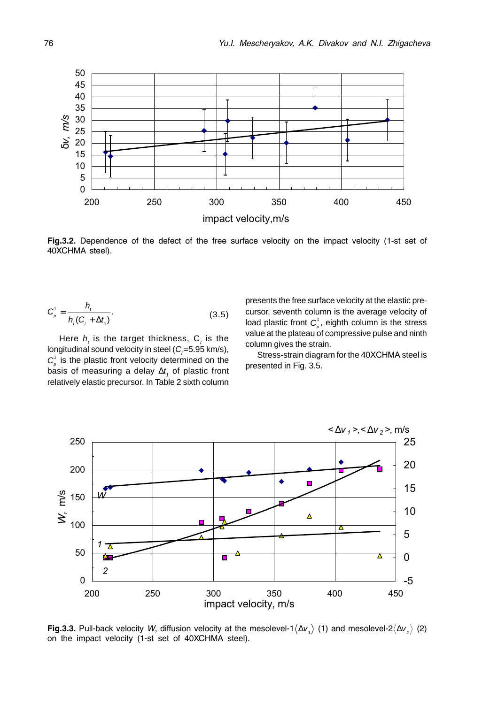

Fig.3.2. Dependence of the defect of the free surface velocity on the impact velocity (1-st set of 40XCHMA steel).

$$
C_{\rho}^1 = \frac{h_t}{h_t(C_t + \Delta t_t)}.
$$
\n(3.5)

Here  $h_i$ , is the target thickness,  $C_i$ , is the longitudinal sound velocity in steel ( $C<sub>i</sub> = 5.95$  km/s),  $C_{\rho}^1$  is the plastic front velocity determined on the basis of measuring a delay  $\Delta t$ , of plastic front relatively elastic precursor. In Table 2 sixth column presents the free surface velocity at the elastic precursor, seventh column is the average velocity of load plastic front  $C_p^1$ , eighth column is the stress value at the plateau of compressive pulse and ninth column gives the strain.

Stress-strain diagram for the 40XCHMA steel is presented in Fig. 3.5.



Fig.3.3. Pull-back velocity W, diffusion velocity at the mesolevel-1 $\langle \Delta v_1 \rangle$  (1) and mesolevel-2 $\langle \Delta v_2 \rangle$  (2) on the impact velocity (1-st set of 40XCHMA steel).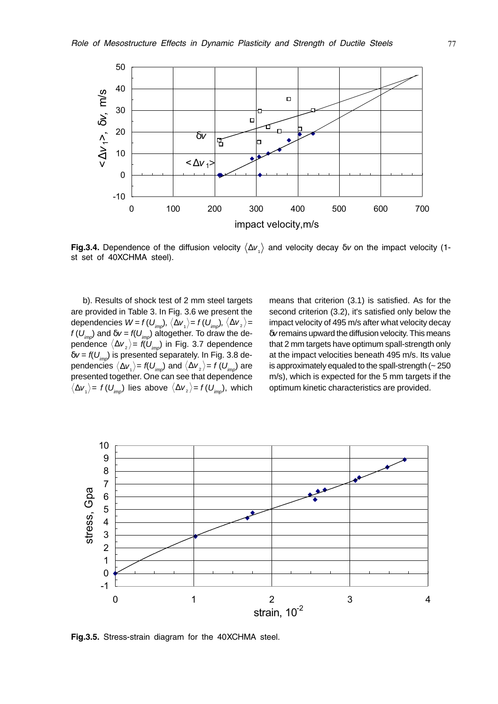

**Fig.3.4.** Dependence of the diffusion velocity  $\langle \Delta v_i \rangle$  and velocity decay  $\delta v$  on the impact velocity (1st set of 40XCHMA steel).

b). Results of shock test of 2 mm steel targets are provided in Table 3. In Fig. 3.6 we present the dependencies  $W = f(U_{imp})$ ,  $\langle \Delta v_1 \rangle = f(U_{imp})$ ,  $\langle \Delta v_2 \rangle =$  $f\left(U_{imp}\right)$  and  $\delta v$  =  $f\left(U_{imp}\right)$  altogether. To draw the dependence  $\langle \Delta \mathsf{v}_z \rangle$ =  $\mathsf{f}( \mathsf{U}_{_{\mathsf{imp}}})$  in Fig. 3.7 dependence  $\delta v = f(U_{\text{imp}})$  is presented separately. In Fig. 3.8 dependencies  $\langle \Delta v_i \rangle$  = f( $U_{imp}$ ) and  $\langle \Delta v_z \rangle$  = f( $U_{imp}$ ) are presented together. One can see that dependence  $\langle \Delta v_{1} \rangle = f(U_{imp})$  lies above  $\langle \Delta v_{2} \rangle = f(U_{imp})$ , which means that criterion (3.1) is satisfied. As for the second criterion (3.2), it's satisfied only below the impact velocity of 495 m/s after what velocity decay δv remains upward the diffusion velocity. This means that 2 mm targets have optimum spall-strength only at the impact velocities beneath 495 m/s. Its value is approximately equaled to the spall-strength  $($   $\sim$  250 m/s), which is expected for the 5 mm targets if the optimum kinetic characteristics are provided.



Fig.3.5. Stress-strain diagram for the 40XCHMA steel.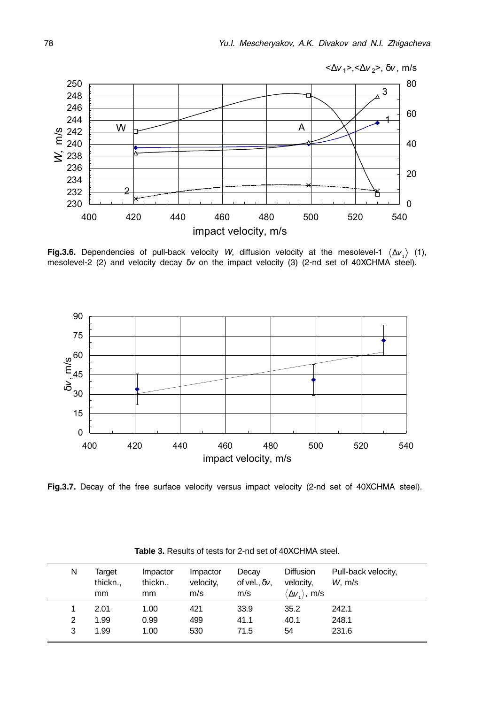

Fig.3.6. Dependencies of pull-back velocity W, diffusion velocity at the mesolevel-1  $\langle \Delta v_i \rangle$  (1), mesolevel-2 (2) and velocity decay  $\delta v$  on the impact velocity (3) (2-nd set of 40XCHMA steel).



Fig.3.7. Decay of the free surface velocity versus impact velocity (2-nd set of 40XCHMA steel).

| N | Target<br>thickn.,<br>mm | Impactor<br>thickn.,<br>mm | Impactor<br>velocity,<br>m/s | Decay<br>of vel., $\delta v$ ,<br>m/s | <b>Diffusion</b><br>velocity,<br>$\langle \Delta {\sf v}_i \rangle$ , m/s | Pull-back velocity,<br>W, m/s |
|---|--------------------------|----------------------------|------------------------------|---------------------------------------|---------------------------------------------------------------------------|-------------------------------|
|   | 2.01                     | 1.00                       | 421                          | 33.9                                  | 35.2                                                                      | 242.1                         |
| 2 | 1.99                     | 0.99                       | 499                          | 41.1                                  | 40.1                                                                      | 248.1                         |
| 3 | 1.99                     | 1.00                       | 530                          | 71.5                                  | 54                                                                        | 231.6                         |

Table 3. Results of tests for 2-nd set of 40XCHMA steel.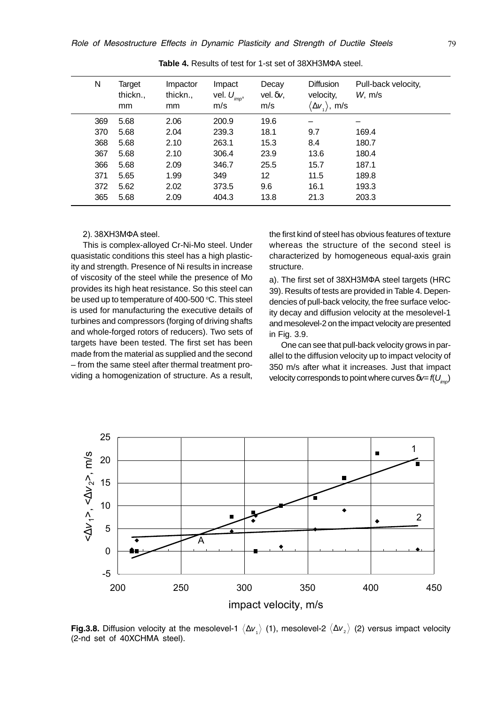| N   | Target<br>thickn.,<br>mm | Impactor<br>thickn.,<br><sub>mm</sub> | Impact<br>vel. $U_{\text{imp}}$<br>m/s | Decay<br>vel. $\delta v$ ,<br>m/s | Diffusion<br>velocity,<br>$\langle \Delta \mathsf{v}_1 \rangle$ , m/s | Pull-back velocity,<br>$W1$ m/s |
|-----|--------------------------|---------------------------------------|----------------------------------------|-----------------------------------|-----------------------------------------------------------------------|---------------------------------|
| 369 | 5.68                     | 2.06                                  | 200.9                                  | 19.6                              |                                                                       |                                 |
| 370 | 5.68                     | 2.04                                  | 239.3                                  | 18.1                              | 9.7                                                                   | 169.4                           |
| 368 | 5.68                     | 2.10                                  | 263.1                                  | 15.3                              | 8.4                                                                   | 180.7                           |
| 367 | 5.68                     | 2.10                                  | 306.4                                  | 23.9                              | 13.6                                                                  | 180.4                           |
| 366 | 5.68                     | 2.09                                  | 346.7                                  | 25.5                              | 15.7                                                                  | 187.1                           |
| 371 | 5.65                     | 1.99                                  | 349                                    | 12                                | 11.5                                                                  | 189.8                           |
| 372 | 5.62                     | 2.02                                  | 373.5                                  | 9.6                               | 16.1                                                                  | 193.3                           |
| 365 | 5.68                     | 2.09                                  | 404.3                                  | 13.8                              | 21.3                                                                  | 203.3                           |

Table 4. Results of test for 1-st set of 38XH3M<sub>Φ</sub>A steel.

#### 2), 38XH3MΦA steel.

This is complex-alloyed Cr-Ni-Mo steel. Under quasistatic conditions this steel has a high plasticity and strength. Presence of Ni results in increase of viscosity of the steel while the presence of Mo provides its high heat resistance. So this steel can be used up to temperature of 400-500  $^{\circ}$ C. This steel is used for manufacturing the executive details of turbines and compressors (forging of driving shafts and whole-forged rotors of reducers). Two sets of targets have been tested. The first set has been made from the material as supplied and the second – from the same steel after thermal treatment providing a homogenization of structure. As a result,

the first kind of steel has obvious features of texture whereas the structure of the second steel is characterized by homogeneous equal-axis grain structure.

a). The first set of 38XH3MΦA steel targets (HRC 39). Results of tests are provided in Table 4. Dependencies of pull-back velocity, the free surface velocity decay and diffusion velocity at the mesolevel-1 and mesolevel-2 on the impact velocity are presented in Fig. 3.9.

One can see that pull-back velocity grows in parallel to the diffusion velocity up to impact velocity of 350 m/s after what it increases. Just that impact velocity corresponds to point where curves  $\delta v = f(U_{imp})$ 



**Fig.3.8.** Diffusion velocity at the mesolevel-1  $\langle\Delta\nu_i\rangle$  (1), mesolevel-2  $\langle\Delta\nu_z\rangle$  (2) versus impact velocity (2-nd set of 40XCHMA steel).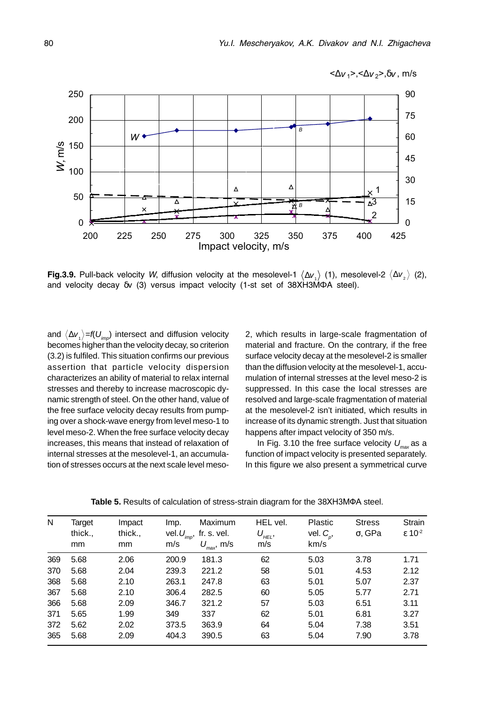

Fig.3.9. Pull-back velocity W, diffusion velocity at the mesolevel-1  $\langle \Delta v_1 \rangle$  (1), mesolevel-2  $\langle \Delta v_2 \rangle$  (2), and velocity decay  $\delta v$  (3) versus impact velocity (1-st set of 38XH3MΦA steel).

and  $\langle \Delta v_{\tau} \rangle = f(U_{\tau m})$  intersect and diffusion velocity becomes higher than the velocity decay, so criterion (3.2) is fulfiled. This situation confirms our previous assertion that particle velocity dispersion characterizes an ability of material to relax internal stresses and thereby to increase macroscopic dynamic strength of steel. On the other hand, value of the free surface velocity decay results from pumping over a shock-wave energy from level meso-1 to level meso-2. When the free surface velocity decay increases, this means that instead of relaxation of internal stresses at the mesolevel-1, an accumulation of stresses occurs at the next scale level meso-

2, which results in large-scale fragmentation of material and fracture. On the contrary, if the free surface velocity decay at the mesolevel-2 is smaller than the diffusion velocity at the mesolevel-1, accumulation of internal stresses at the level meso-2 is suppressed. In this case the local stresses are resolved and large-scale fragmentation of material at the mesolevel-2 isn't initiated, which results in increase of its dynamic strength. Just that situation happens after impact velocity of 350 m/s.

In Fig. 3.10 the free surface velocity  $U_{\text{max}}$  as a function of impact velocity is presented separately. In this figure we also present a symmetrical curve

| N   | Target        | Impact        | Imp.                     | Maximum                               | HEL vel.                                  | <b>Plastic</b>         | <b>Stress</b>  | Strain                      |
|-----|---------------|---------------|--------------------------|---------------------------------------|-------------------------------------------|------------------------|----------------|-----------------------------|
|     | thick.,<br>mm | thick.,<br>mm | vel. $U_{_{imp}}$<br>m/s | fr. s. vel.<br>$U_{\text{max}}$ , m/s | $U^{}_{\!\scriptscriptstyle HEL},$<br>m/s | vel. $C_{p}$ ,<br>km/s | $\sigma$ , GPa | $\epsilon$ 10 <sup>-2</sup> |
|     |               |               |                          |                                       |                                           |                        |                |                             |
| 369 | 5.68          | 2.06          | 200.9                    | 181.3                                 | 62                                        | 5.03                   | 3.78           | 1.71                        |
| 370 | 5.68          | 2.04          | 239.3                    | 221.2                                 | 58                                        | 5.01                   | 4.53           | 2.12                        |
| 368 | 5.68          | 2.10          | 263.1                    | 247.8                                 | 63                                        | 5.01                   | 5.07           | 2.37                        |
| 367 | 5.68          | 2.10          | 306.4                    | 282.5                                 | 60                                        | 5.05                   | 5.77           | 2.71                        |
| 366 | 5.68          | 2.09          | 346.7                    | 321.2                                 | 57                                        | 5.03                   | 6.51           | 3.11                        |
| 371 | 5.65          | 1.99          | 349                      | 337                                   | 62                                        | 5.01                   | 6.81           | 3.27                        |
| 372 | 5.62          | 2.02          | 373.5                    | 363.9                                 | 64                                        | 5.04                   | 7.38           | 3.51                        |
| 365 | 5.68          | 2.09          | 404.3                    | 390.5                                 | 63                                        | 5.04                   | 7.90           | 3.78                        |

Table 5. Results of calculation of stress-strain diagram for the 38XH3MΦA steel.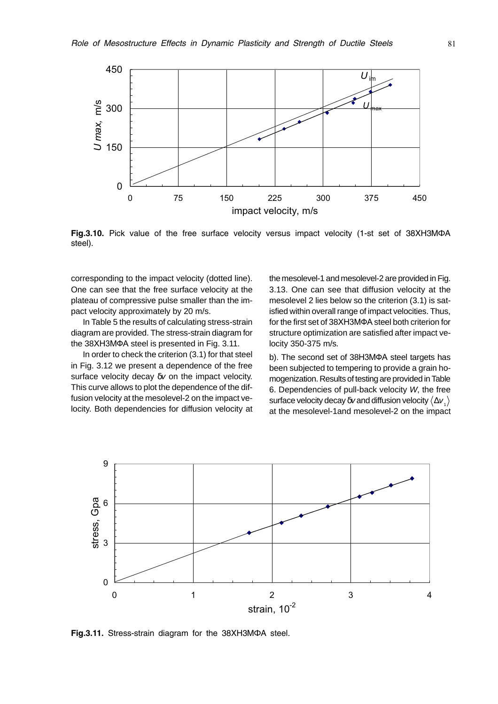

Fig.3.10. Pick value of the free surface velocity versus impact velocity (1-st set of 38XH3MΦA steel).

corresponding to the impact velocity (dotted line). One can see that the free surface velocity at the plateau of compressive pulse smaller than the impact velocity approximately by 20 m/s.

In Table 5 the results of calculating stress-strain diagram are provided. The stress-strain diagram for the 38XH3MΦA steel is presented in Fig. 3.11.

In order to check the criterion (3.1) for that steel in Fig. 3.12 we present a dependence of the free surface velocity decay δv on the impact velocity. This curve allows to plot the dependence of the diffusion velocity at the mesolevel-2 on the impact velocity. Both dependencies for diffusion velocity at the mesolevel-1 and mesolevel-2 are provided in Fig. 3.13. One can see that diffusion velocity at the mesolevel 2 lies below so the criterion (3.1) is satisfied within overall range of impact velocities. Thus, for the first set of 38XH3MΦA steel both criterion for structure optimization are satisfied after impact velocity 350-375 m/s.

b). The second set of 38H3MΦA steel targets has been subjected to tempering to provide a grain homogenization. Results of testing are provided in Table 6. Dependencies of pull-back velocity W, the free surface velocity decay  $\delta v$  and diffusion velocity  $\langle \Delta v \rangle$ at the mesolevel-1and mesolevel-2 on the impact



Fig.3.11. Stress-strain diagram for the 38XH3MΦA steel.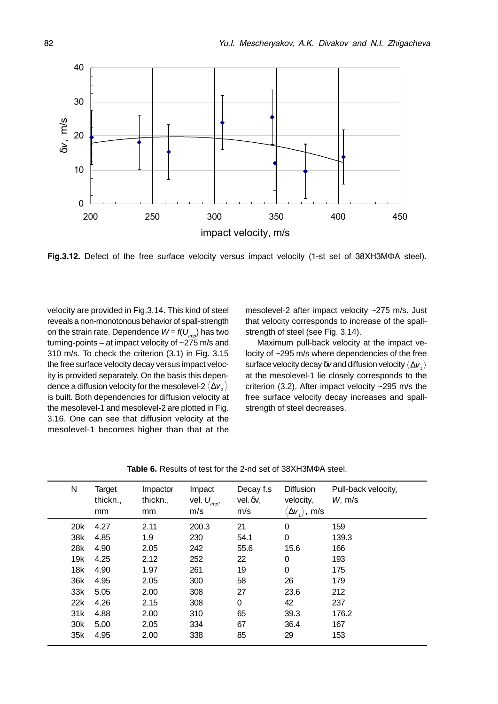

Fig.3.12. Defect of the free surface velocity versus impact velocity (1-st set of 38XH3MΦA steel).

velocity are provided in Fig.3.14. This kind of steel reveals a non-monotonous behavior of spall-strength on the strain rate. Dependence  $W = f(U_{im})$  has two turning-points – at impact velocity of  $\sim$ 275 m/s and 310 m/s. To check the criterion (3.1) in Fig. 3.15 the free surface velocity decay versus impact velocity is provided separately. On the basis this dependence a diffusion velocity for the mesolevel-2  $\langle \Delta v_z \rangle$ is built. Both dependencies for diffusion velocity at the mesolevel-1 and mesolevel-2 are plotted in Fig. 3.16. One can see that diffusion velocity at the mesolevel-1 becomes higher than that at the

mesolevel-2 after impact velocity ~275 m/s. Just that velocity corresponds to increase of the spallstrength of steel (see Fig. 3.14).

Maximum pull-back velocity at the impact velocity of ~295 m/s where dependencies of the free surface velocity decay  $\delta v$  and diffusion velocity  $\langle \Delta v \rangle$ at the mesolevel-1 lie closely corresponds to the criterion (3.2). After impact velocity ~295 m/s the free surface velocity decay increases and spallstrength of steel decreases.

| N               | Target<br>thickn.,<br>mm | Impactor<br>thickn.,<br>mm | Impact<br>vel. $U_{\text{imp}}$<br>m/s | Decay f.s<br>$vel.$ $\delta v$ ,<br>m/s | Diffusion<br>velocity,<br>$\langle \Delta {\sf v}_{{\scriptscriptstyle \perp}} \rangle$ , m/s | Pull-back velocity,<br>$W1$ m/s |
|-----------------|--------------------------|----------------------------|----------------------------------------|-----------------------------------------|-----------------------------------------------------------------------------------------------|---------------------------------|
| 20 <sub>k</sub> | 4.27                     | 2.11                       | 200.3                                  | 21                                      | 0                                                                                             | 159                             |
| 38k             | 4.85                     | 1.9                        | 230                                    | 54.1                                    | 0                                                                                             | 139.3                           |
| 28k             | 4.90                     | 2.05                       | 242                                    | 55.6                                    | 15.6                                                                                          | 166                             |
| 19k             | 4.25                     | 2.12                       | 252                                    | 22                                      | 0                                                                                             | 193                             |
| 18k             | 4.90                     | 1.97                       | 261                                    | 19                                      | 0                                                                                             | 175                             |
| 36k             | 4.95                     | 2.05                       | 300                                    | 58                                      | 26                                                                                            | 179                             |
| 33k             | 5.05                     | 2.00                       | 308                                    | 27                                      | 23.6                                                                                          | 212                             |
| 22k             | 4.26                     | 2.15                       | 308                                    | 0                                       | 42                                                                                            | 237                             |
| 31k             | 4.88                     | 2.00                       | 310                                    | 65                                      | 39.3                                                                                          | 176.2                           |
| 30 <sub>k</sub> | 5.00                     | 2.05                       | 334                                    | 67                                      | 36.4                                                                                          | 167                             |
| 35k             | 4.95                     | 2.00                       | 338                                    | 85                                      | 29                                                                                            | 153                             |

Table 6. Results of test for the 2-nd set of 38XH3M $\Phi$ A steel.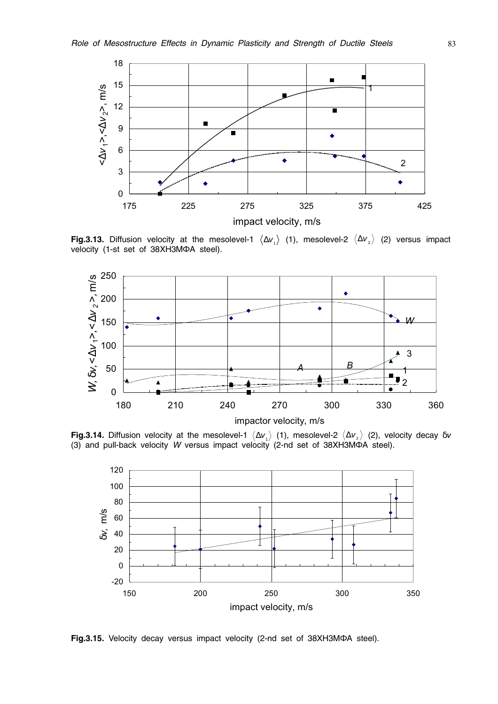

**Fig.3.13.** Diffusion velocity at the mesolevel-1  $\langle \Delta v_1 \rangle$  (1), mesolevel-2  $\langle \Delta v_2 \rangle$  (2) versus impact velocity (1-st set of 38XH3MΦA steel).



**Fig.3.14.** Diffusion velocity at the mesolevel-1  $\langle \Delta v_1 \rangle$  (1), mesolevel-2  $\langle \Delta v_2 \rangle$  (2), velocity decay  $\delta v$  (3) and pull-back velocity W versus impact velocity (2-nd set of 38XH3MΦA steel).



Fig.3.15. Velocity decay versus impact velocity (2-nd set of 38XH3MΦA steel).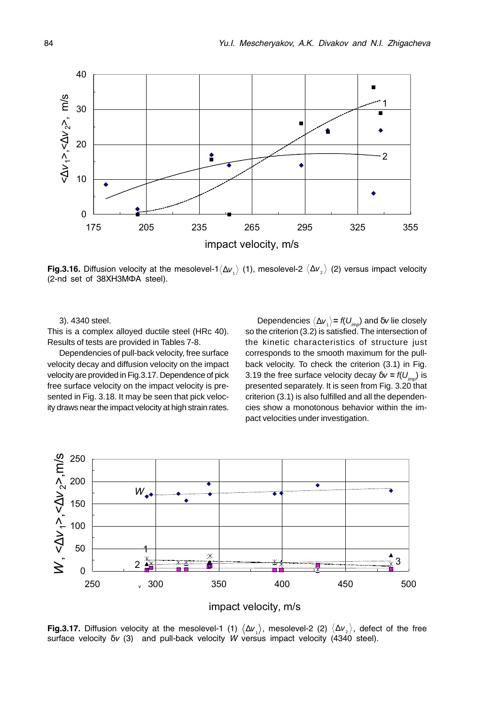

**Fig.3.16.** Diffusion velocity at the mesolevel-1 $\langle\Delta v_{_1}\rangle$  (1), mesolevel-2  $\langle\Delta v_{_2}\rangle$  (2) versus impact velocity (2-nd set of 38XH3MΦA steel).

3). 4340 steel.

This is a complex alloyed ductile steel (HRc 40). Results of tests are provided in Tables 7-8.

Dependencies of pull-back velocity, free surface velocity decay and diffusion velocity on the impact velocity are provided in Fig.3.17. Dependence of pick free surface velocity on the impact velocity is presented in Fig. 3.18. It may be seen that pick velocity draws near the impact velocity at high strain rates.

Dependencies  $\langle \Delta v_i \rangle$  =  $f(U_{imp})$  and  $\delta v$  lie closely so the criterion (3.2) is satisfied. The intersection of the kinetic characteristics of structure just corresponds to the smooth maximum for the pullback velocity. To check the criterion (3.1) in Fig. 3.19 the free surface velocity decay  $\delta v = f(U_{\text{imp}})$  is presented separately. It is seen from Fig. 3.20 that criterion (3.1) is also fulfilled and all the dependencies show a monotonous behavior within the impact velocities under investigation.



impact velocity, m/s

**Fig.3.17.** Diffusion velocity at the mesolevel-1 (1)  $\langle \Delta v_1 \rangle$ , mesolevel-2 (2)  $\langle \Delta v_2 \rangle$ , defect of the free surface velocity  $\delta v$  (3) and pull-back velocity W versus impact velocity (4340 steel).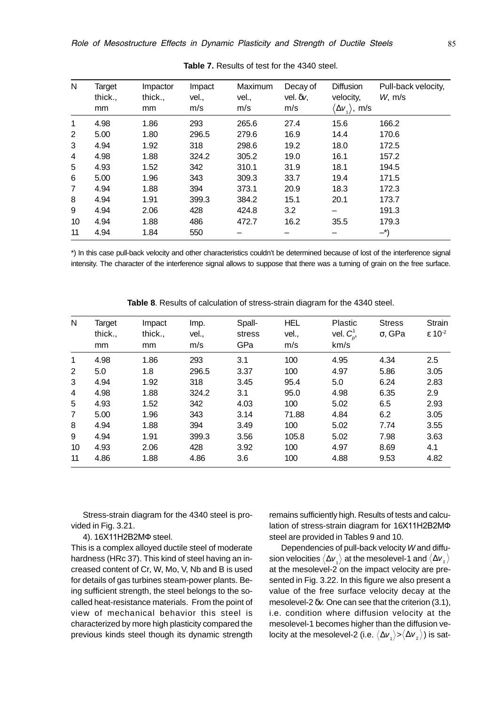| N  | Target<br>thick.,<br>mm | Impactor<br>thick.,<br>mm | Impact<br>vel.,<br>m/s | Maximum<br>vel.,<br>m/s | Decay of<br>vel. $\delta v$ ,<br>m/s | <b>Diffusion</b><br>velocity,<br>$\langle \Delta {\sf v}_{\scriptscriptstyle 1} \rangle$ , m/s | Pull-back velocity,<br>W <sub>1</sub> m/s |
|----|-------------------------|---------------------------|------------------------|-------------------------|--------------------------------------|------------------------------------------------------------------------------------------------|-------------------------------------------|
| 1  | 4.98                    | 1.86                      | 293                    | 265.6                   | 27.4                                 | 15.6                                                                                           | 166.2                                     |
| 2  | 5.00                    | 1.80                      | 296.5                  | 279.6                   | 16.9                                 | 14.4                                                                                           | 170.6                                     |
| 3  | 4.94                    | 1.92                      | 318                    | 298.6                   | 19.2                                 | 18.0                                                                                           | 172.5                                     |
| 4  | 4.98                    | 1.88                      | 324.2                  | 305.2                   | 19.0                                 | 16.1                                                                                           | 157.2                                     |
| 5  | 4.93                    | 1.52                      | 342                    | 310.1                   | 31.9                                 | 18.1                                                                                           | 194.5                                     |
| 6  | 5.00                    | 1.96                      | 343                    | 309.3                   | 33.7                                 | 19.4                                                                                           | 171.5                                     |
| 7  | 4.94                    | 1.88                      | 394                    | 373.1                   | 20.9                                 | 18.3                                                                                           | 172.3                                     |
| 8  | 4.94                    | 1.91                      | 399.3                  | 384.2                   | 15.1                                 | 20.1                                                                                           | 173.7                                     |
| 9  | 4.94                    | 2.06                      | 428                    | 424.8                   | 3.2                                  |                                                                                                | 191.3                                     |
| 10 | 4.94                    | 1.88                      | 486                    | 472.7                   | 16.2                                 | 35.5                                                                                           | 179.3                                     |
| 11 | 4.94                    | 1.84                      | 550                    |                         |                                      |                                                                                                | $-^{\ast}$                                |

**Table 7.** Results of test for the 4340 steel.

\*) In this case pull-back velocity and other characteristics couldn't be determined because of lost of the interference signal intensity. The character of the interference signal allows to suppose that there was a turning of grain on the free surface.

| N              | <b>Target</b><br>thick.,<br>mm | Impact<br>thick.,<br>mm | Imp.<br>vel.,<br>m/s | Spall-<br>stress<br>GPa | <b>HEL</b><br>vel.,<br>m/s | Plastic<br>vel. $C_n^1$ ,<br>km/s | <b>Stress</b><br>$\sigma$ , GPa | <b>Strain</b><br>$\epsilon$ 10 <sup>-2</sup> |
|----------------|--------------------------------|-------------------------|----------------------|-------------------------|----------------------------|-----------------------------------|---------------------------------|----------------------------------------------|
| 1              | 4.98                           | 1.86                    | 293                  | 3.1                     | 100                        | 4.95                              | 4.34                            | 2.5                                          |
| 2              | 5.0                            | 1.8                     | 296.5                | 3.37                    | 100                        | 4.97                              | 5.86                            | 3.05                                         |
| 3              | 4.94                           | 1.92                    | 318                  | 3.45                    | 95.4                       | 5.0                               | 6.24                            | 2.83                                         |
| 4              | 4.98                           | 1.88                    | 324.2                | 3.1                     | 95.0                       | 4.98                              | 6.35                            | 2.9                                          |
| 5              | 4.93                           | 1.52                    | 342                  | 4.03                    | 100                        | 5.02                              | 6.5                             | 2.93                                         |
| $\overline{7}$ | 5.00                           | 1.96                    | 343                  | 3.14                    | 71.88                      | 4.84                              | 6.2                             | 3.05                                         |
| 8              | 4.94                           | 1.88                    | 394                  | 3.49                    | 100                        | 5.02                              | 7.74                            | 3.55                                         |
| 9              | 4.94                           | 1.91                    | 399.3                | 3.56                    | 105.8                      | 5.02                              | 7.98                            | 3.63                                         |
| 10             | 4.93                           | 2.06                    | 428                  | 3.92                    | 100                        | 4.97                              | 8.69                            | 4.1                                          |
| 11             | 4.86                           | 1.88                    | 4.86                 | 3.6                     | 100                        | 4.88                              | 9.53                            | 4.82                                         |

**Table 8**. Results of calculation of stress-strain diagram for the 4340 steel.

Stress-strain diagram for the 4340 steel is provided in Fig. 3.21.

4). 16X11H2B2MΦ steel.

This is a complex alloyed ductile steel of moderate hardness (HRc 37). This kind of steel having an increased content of Cr, W, Mo, V, Nb and B is used for details of gas turbines steam-power plants. Being sufficient strength, the steel belongs to the socalled heat-resistance materials. From the point of view of mechanical behavior this steel is characterized by more high plasticity compared the previous kinds steel though its dynamic strength

remains sufficiently high. Results of tests and calculation of stress-strain diagram for 16X11H2B2MФ steel are provided in Tables 9 and 10.

Dependencies of pull-back velocity W and diffusion velocities  $\langle \Delta v_i \rangle$  at the mesolevel-1 and  $\langle \Delta v_i \rangle$ at the mesolevel-2 on the impact velocity are presented in Fig. 3.22. In this figure we also present a value of the free surface velocity decay at the mesolevel-2  $\delta v$ . One can see that the criterion (3.1), i.e. condition where diffusion velocity at the mesolevel-1 becomes higher than the diffusion velocity at the mesolevel-2 (i.e.  $\langle \Delta v_{1} \rangle > \langle \Delta v_{2} \rangle$ ) is sat-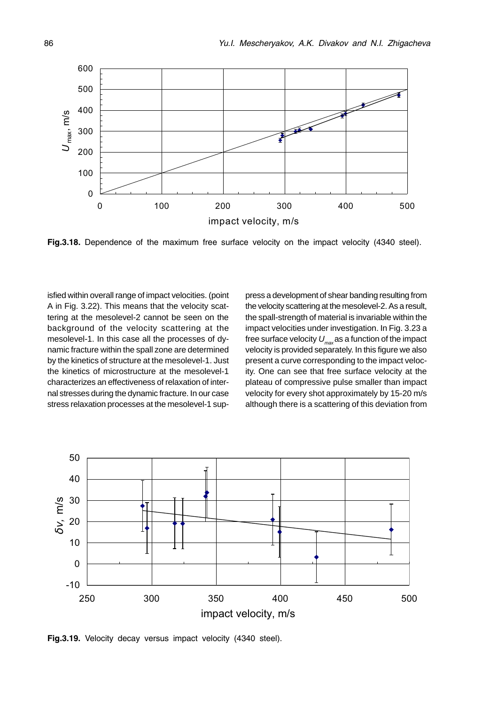

Fig.3.18. Dependence of the maximum free surface velocity on the impact velocity (4340 steel).

isfied within overall range of impact velocities. (point A in Fig. 3.22). This means that the velocity scattering at the mesolevel-2 cannot be seen on the background of the velocity scattering at the mesolevel-1. In this case all the processes of dynamic fracture within the spall zone are determined by the kinetics of structure at the mesolevel-1. Just the kinetics of microstructure at the mesolevel-1 characterizes an effectiveness of relaxation of internal stresses during the dynamic fracture. In our case stress relaxation processes at the mesolevel-1 suppress a development of shear banding resulting from the velocity scattering at the mesolevel-2. As a result, the spall-strength of material is invariable within the impact velocities under investigation. In Fig. 3.23 a free surface velocity  $U_{\text{max}}$  as a function of the impact velocity is provided separately. In this figure we also present a curve corresponding to the impact velocity. One can see that free surface velocity at the plateau of compressive pulse smaller than impact velocity for every shot approximately by 15-20 m/s although there is a scattering of this deviation from



Fig.3.19. Velocity decay versus impact velocity (4340 steel).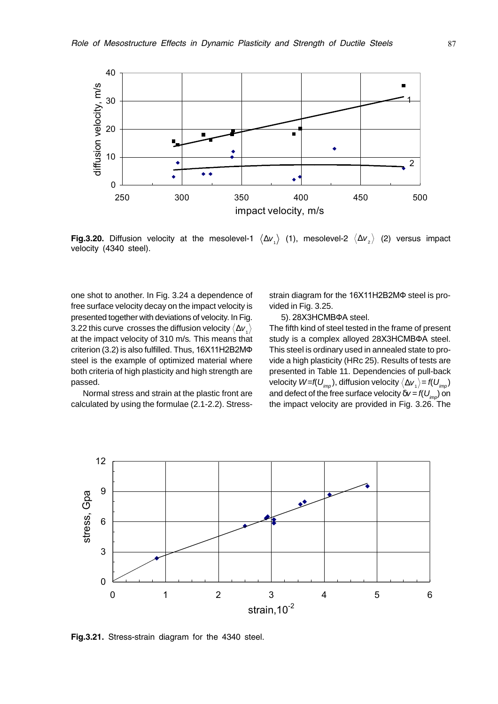

**Fig.3.20.** Diffusion velocity at the mesolevel-1  $\langle \Delta v_1 \rangle$  (1), mesolevel-2  $\langle \Delta v_2 \rangle$  (2) versus impact velocity (4340 steel).

one shot to another. In Fig. 3.24 a dependence of free surface velocity decay on the impact velocity is presented together with deviations of velocity. In Fig. 3.22 this curve crosses the diffusion velocity  $\langle \Delta v_{i} \rangle$ at the impact velocity of 310 m/s. This means that criterion  $(3.2)$  is also fulfilled. Thus,  $16X11H2B2M\Phi$ steel is the example of optimized material where both criteria of high plasticity and high strength are passed.

Normal stress and strain at the plastic front are calculated by using the formulae (2.1-2.2). Stressstrain diagram for the 16X11H2B2MΦ steel is provided in Fig. 3.25.

5). 28X3HCMBΦA steel.

The fifth kind of steel tested in the frame of present study is a complex alloyed 28X3HCMBΦA steel. This steel is ordinary used in annealed state to provide a high plasticity (HRc 25). Results of tests are presented in Table 11. Dependencies of pull-back velocity  $W=$ f( $U_{\text{imp}}$ ), diffusion velocity  $\langle \Delta v_{1} \rangle$  = f( $U_{\text{imp}}$ ) and defect of the free surface velocity  $\delta v = f(U_{imp})$  on the impact velocity are provided in Fig. 3.26. The



Fig.3.21. Stress-strain diagram for the 4340 steel.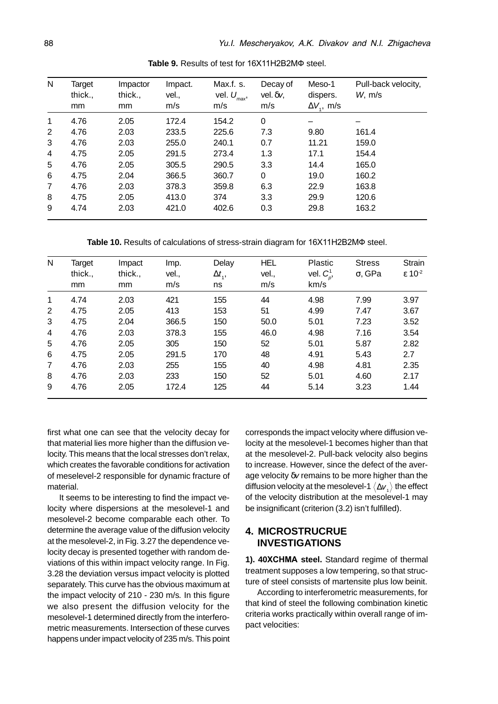| N | Target<br>thick.,<br>mm | Impactor<br>thick.,<br>mm | Impact.<br>vel.,<br>m/s | Max.f. s.<br>vel. $U_{\scriptscriptstyle{\text{max}}}$ ,<br>m/s | Decay of<br>vel. $\delta v$ ,<br>m/s | Meso-1<br>dispers.<br>$\Delta V_{1}$ , m/s | Pull-back velocity,<br>W <sub>1</sub> m/s |
|---|-------------------------|---------------------------|-------------------------|-----------------------------------------------------------------|--------------------------------------|--------------------------------------------|-------------------------------------------|
| 1 | 4.76                    | 2.05                      | 172.4                   | 154.2                                                           | 0                                    |                                            |                                           |
| 2 | 4.76                    | 2.03                      | 233.5                   | 225.6                                                           | 7.3                                  | 9.80                                       | 161.4                                     |
| 3 | 4.76                    | 2.03                      | 255.0                   | 240.1                                                           | 0.7                                  | 11.21                                      | 159.0                                     |
| 4 | 4.75                    | 2.05                      | 291.5                   | 273.4                                                           | 1.3                                  | 17.1                                       | 154.4                                     |
| 5 | 4.76                    | 2.05                      | 305.5                   | 290.5                                                           | 3.3                                  | 14.4                                       | 165.0                                     |
| 6 | 4.75                    | 2.04                      | 366.5                   | 360.7                                                           | 0                                    | 19.0                                       | 160.2                                     |
| 7 | 4.76                    | 2.03                      | 378.3                   | 359.8                                                           | 6.3                                  | 22.9                                       | 163.8                                     |
| 8 | 4.75                    | 2.05                      | 413.0                   | 374                                                             | 3.3                                  | 29.9                                       | 120.6                                     |
| 9 | 4.74                    | 2.03                      | 421.0                   | 402.6                                                           | 0.3                                  | 29.8                                       | 163.2                                     |

Table 9. Results of test for 16X11H2B2M $\Phi$  steel.

Table 10. Results of calculations of stress-strain diagram for 16X11H2B2MΦ steel.

| N              | Target  | Impact  | Imp.  | Delay          | HEL   | Plastic        | <b>Stress</b>  | <b>Strain</b>               |
|----------------|---------|---------|-------|----------------|-------|----------------|----------------|-----------------------------|
|                | thick., | thick., | vel., | $\Delta t_{1}$ | vel., | vel. $C_p^1$ , | $\sigma$ , GPa | $\epsilon$ 10 <sup>-2</sup> |
|                | mm      | mm      | m/s   | ns             | m/s   | km/s           |                |                             |
| 1              | 4.74    | 2.03    | 421   | 155            | 44    | 4.98           | 7.99           | 3.97                        |
| 2              | 4.75    | 2.05    | 413   | 153            | 51    | 4.99           | 7.47           | 3.67                        |
| 3              | 4.75    | 2.04    | 366.5 | 150            | 50.0  | 5.01           | 7.23           | 3.52                        |
| 4              | 4.76    | 2.03    | 378.3 | 155            | 46.0  | 4.98           | 7.16           | 3.54                        |
| 5              | 4.76    | 2.05    | 305   | 150            | 52    | 5.01           | 5.87           | 2.82                        |
| 6              | 4.75    | 2.05    | 291.5 | 170            | 48    | 4.91           | 5.43           | 2.7                         |
| $\overline{7}$ | 4.76    | 2.03    | 255   | 155            | 40    | 4.98           | 4.81           | 2.35                        |
| 8              | 4.76    | 2.03    | 233   | 150            | 52    | 5.01           | 4.60           | 2.17                        |
| 9              | 4.76    | 2.05    | 172.4 | 125            | 44    | 5.14           | 3.23           | 1.44                        |

first what one can see that the velocity decay for that material lies more higher than the diffusion velocity. This means that the local stresses don't relax, which creates the favorable conditions for activation of meselevel-2 responsible for dynamic fracture of material.

It seems to be interesting to find the impact velocity where dispersions at the mesolevel-1 and mesolevel-2 become comparable each other. To determine the average value of the diffusion velocity at the mesolevel-2, in Fig. 3.27 the dependence velocity decay is presented together with random deviations of this within impact velocity range. In Fig. 3.28 the deviation versus impact velocity is plotted separately. This curve has the obvious maximum at the impact velocity of 210 - 230 m/s. In this figure we also present the diffusion velocity for the mesolevel-1 determined directly from the interferometric measurements. Intersection of these curves happens under impact velocity of 235 m/s. This point

corresponds the impact velocity where diffusion velocity at the mesolevel-1 becomes higher than that at the mesolevel-2. Pull-back velocity also begins to increase. However, since the defect of the average velocity δv remains to be more higher than the diffusion velocity at the mesolevel-1  $\langle \Delta v_{i} \rangle$  the effect of the velocity distribution at the mesolevel-1 may be insignificant (criterion (3.2) isn't fulfilled).

## **4. MICROSTRUCRUE INVESTIGATIONS**

1). 40XCHMA steel. Standard regime of thermal treatment supposes a low tempering, so that structure of steel consists of martensite plus low beinit.

According to interferometric measurements, for that kind of steel the following combination kinetic criteria works practically within overall range of impact velocities: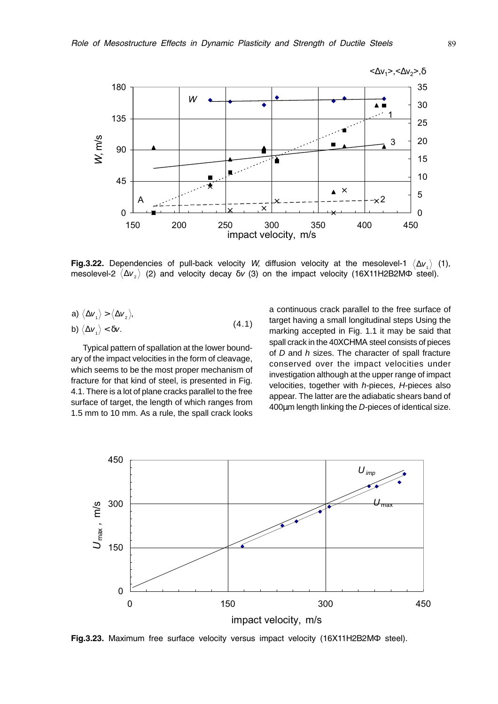

**Fig.3.22.** Dependencies of pull-back velocity W, diffusion velocity at the mesolevel-1  $\langle \Delta v_i \rangle$  (1), mesolevel-2  $\langle\Delta\nu_z\rangle$  (2) and velocity decay  $\delta\nu$  (3) on the impact velocity (16X11H2B2MФ steel).

a) 
$$
\langle \Delta v_1 \rangle > \langle \Delta v_2 \rangle
$$
,  
b)  $\langle \Delta v_1 \rangle < \delta v$ . (4.1)

Typical pattern of spallation at the lower boundary of the impact velocities in the form of cleavage, which seems to be the most proper mechanism of fracture for that kind of steel, is presented in Fig. 4.1. There is a lot of plane cracks parallel to the free surface of target, the length of which ranges from 1.5 mm to 10 mm. As a rule, the spall crack looks a continuous crack parallel to the free surface of target having a small longitudinal steps Using the marking accepted in Fig. 1.1 it may be said that spall crack in the 40XCHMA steel consists of pieces of  $D$  and  $h$  sizes. The character of spall fracture conserved over the impact velocities under investigation although at the upper range of impact velocities, together with h-pieces, H-pieces also appear. The latter are the adiabatic shears band of 400µm length linking the D-pieces of identical size.



Fig.3.23. Maximum free surface velocity versus impact velocity (16X11H2B2MФ steel).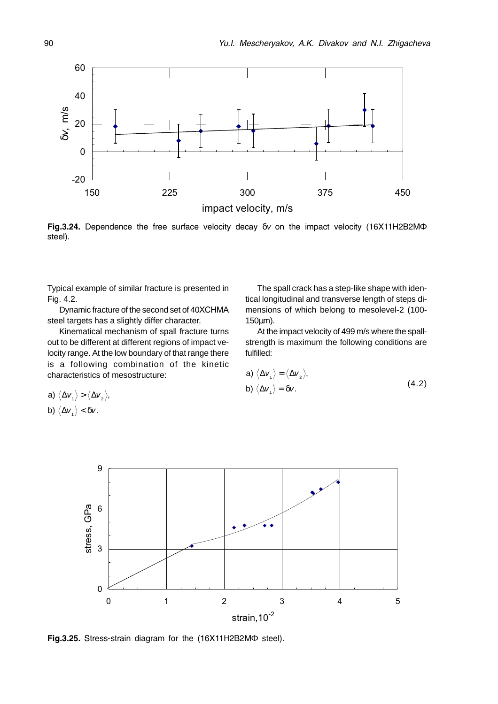

**Fig.3.24.** Dependence the free surface velocity decay  $\delta v$  on the impact velocity (16X11H2B2MΦ steel).

Typical example of similar fracture is presented in Fig. 4.2.

Dynamic fracture of the second set of 40XCHMA steel targets has a slightly differ character.

Kinematical mechanism of spall fracture turns out to be different at different regions of impact velocity range. At the low boundary of that range there is a following combination of the kinetic characteristics of mesostructure:

The spall crack has a step-like shape with identical longitudinal and transverse length of steps dimensions of which belong to mesolevel-2 (100- 150µm).

At the impact velocity of 499 m/s where the spallstrength is maximum the following conditions are fulfilled:

a) 
$$
\langle \Delta v_1 \rangle = \langle \Delta v_2 \rangle
$$
,  
b)  $\langle \Delta v_1 \rangle = \delta v$ . (4.2)

a)  $\langle \Delta v_{1} \rangle > \langle \Delta v_{2} \rangle$ , b)  $\langle \Delta v_{1} \rangle < \delta v$ .



Fig.3.25. Stress-strain diagram for the (16X11H2B2MФ steel).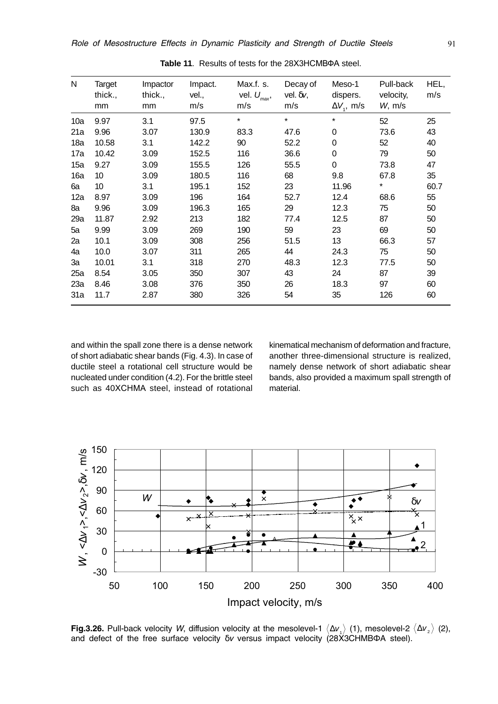| N   | Target<br>thick.,<br>mm | Impactor<br>thick.,<br>mm | Impact.<br>vel.,<br>m/s | Max.f. s.<br>vel. $U_{\text{max}}$ ,<br>m/s | Decay of<br>vel. $\delta v$ ,<br>m/s | Meso-1<br>dispers.<br>$\Delta V_{\rm L}$ , m/s | Pull-back<br>velocity,<br>W, m/s | HEL,<br>m/s |
|-----|-------------------------|---------------------------|-------------------------|---------------------------------------------|--------------------------------------|------------------------------------------------|----------------------------------|-------------|
| 10a | 9.97                    | 3.1                       | 97.5                    | $\star$                                     | $\star$                              | $\star$                                        | 52                               | 25          |
| 21a | 9.96                    | 3.07                      | 130.9                   | 83.3                                        | 47.6                                 | 0                                              | 73.6                             | 43          |
| 18a | 10.58                   | 3.1                       | 142.2                   | 90                                          | 52.2                                 | 0                                              | 52                               | 40          |
| 17a | 10.42                   | 3.09                      | 152.5                   | 116                                         | 36.6                                 | 0                                              | 79                               | 50          |
| 15a | 9.27                    | 3.09                      | 155.5                   | 126                                         | 55.5                                 | 0                                              | 73.8                             | 47          |
| 16a | 10                      | 3.09                      | 180.5                   | 116                                         | 68                                   | 9.8                                            | 67.8                             | 35          |
| 6a  | 10                      | 3.1                       | 195.1                   | 152                                         | 23                                   | 11.96                                          | *                                | 60.7        |
| 12a | 8.97                    | 3.09                      | 196                     | 164                                         | 52.7                                 | 12.4                                           | 68.6                             | 55          |
| 8a  | 9.96                    | 3.09                      | 196.3                   | 165                                         | 29                                   | 12.3                                           | 75                               | 50          |
| 29a | 11.87                   | 2.92                      | 213                     | 182                                         | 77.4                                 | 12.5                                           | 87                               | 50          |
| 5a  | 9.99                    | 3.09                      | 269                     | 190                                         | 59                                   | 23                                             | 69                               | 50          |
| 2a  | 10.1                    | 3.09                      | 308                     | 256                                         | 51.5                                 | 13                                             | 66.3                             | 57          |
| 4a  | 10.0                    | 3.07                      | 311                     | 265                                         | 44                                   | 24.3                                           | 75                               | 50          |
| Зa  | 10.01                   | 3.1                       | 318                     | 270                                         | 48.3                                 | 12.3                                           | 77.5                             | 50          |
| 25a | 8.54                    | 3.05                      | 350                     | 307                                         | 43                                   | 24                                             | 87                               | 39          |
| 23a | 8.46                    | 3.08                      | 376                     | 350                                         | 26                                   | 18.3                                           | 97                               | 60          |
| 31a | 11.7                    | 2.87                      | 380                     | 326                                         | 54                                   | 35                                             | 126                              | 60          |

Table 11. Results of tests for the 28X3HCMBΦA steel.

and within the spall zone there is a dense network of short adiabatic shear bands (Fig. 4.3). In case of ductile steel a rotational cell structure would be nucleated under condition (4.2). For the brittle steel such as 40XCHMA steel, instead of rotational

kinematical mechanism of deformation and fracture. another three-dimensional structure is realized, namely dense network of short adiabatic shear bands, also provided a maximum spall strength of material.



Fig.3.26. Pull-back velocity W, diffusion velocity at the mesolevel-1  $\langle \Delta v_i \rangle$  (1), mesolevel-2  $\langle \Delta v_i \rangle$  (2), and defect of the free surface velocity  $\delta v$  versus impact velocity (28X3CHMBΦA steel).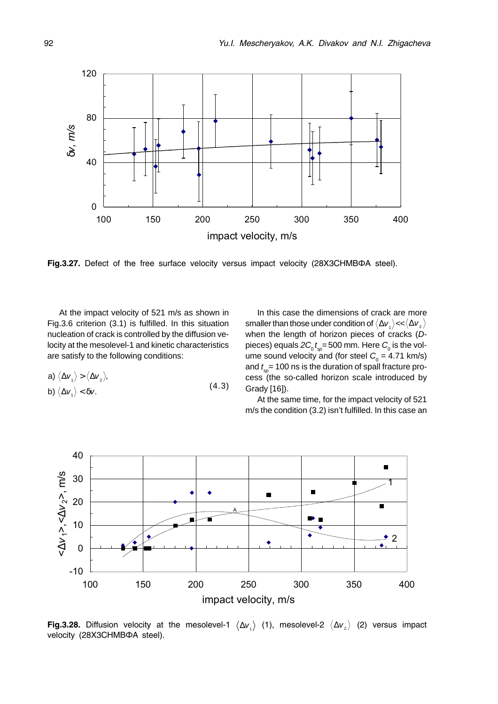

Fig.3.27. Defect of the free surface velocity versus impact velocity (28X3CHMBΦA steel).

At the impact velocity of 521 m/s as shown in Fig.3.6 criterion (3.1) is fulfilled. In this situation nucleation of crack is controlled by the diffusion velocity at the mesolevel-1 and kinetic characteristics are satisfy to the following conditions:

a) 
$$
\langle \Delta v_1 \rangle > \langle \Delta v_2 \rangle
$$
,  
b)  $\langle \Delta v_1 \rangle < \delta v$ . (4.3)

In this case the dimensions of crack are more smaller than those under condition of  $\langle \Delta v_1 \rangle \ll \langle \Delta v_2 \rangle$ when the length of horizon pieces of cracks (Dpieces) equals 2 $\mathcal{C}_{_0}$   $_{t_{\mathrm{sp}}}=$  500 mm. Here  $\mathcal{C}_{_0}$  is the volume sound velocity and (for steel  $C_{_{\rm 0}}$  = 4.71 km/s) and  $t_{\mathrm{sp}}^{}$ = 100 ns is the duration of spall fracture process (the so-called horizon scale introduced by Grady [16]).

At the same time, for the impact velocity of 521 m/s the condition (3.2) isn't fulfilled. In this case an



**Fig.3.28.** Diffusion velocity at the mesolevel-1  $\langle \Delta v_1 \rangle$  (1), mesolevel-2  $\langle \Delta v_2 \rangle$  (2) versus impact velocity (28X3CHMBΦA steel).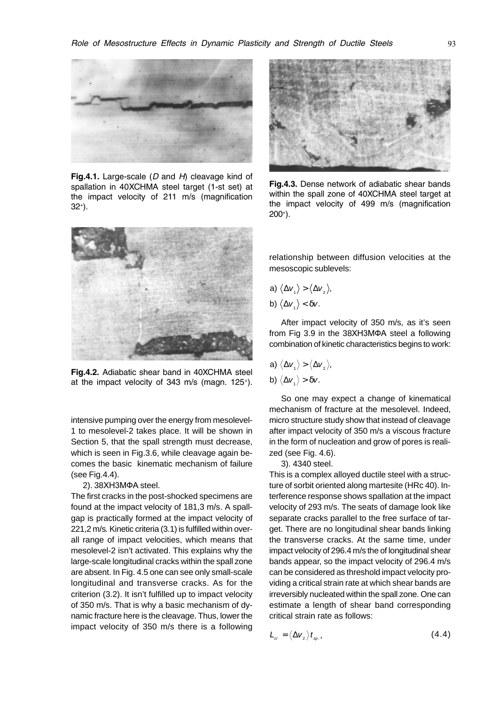

Fig.4.1. Large-scale  $(D \text{ and } H)$  cleavage kind of spallation in 40XCHMA steel target (1-st set) at the impact velocity of 211 m/s (magnification 32+).



Fig.4.2. Adiabatic shear band in 40XCHMA steel at the impact velocity of 343 m/s (magn. 125+).

intensive pumping over the energy from mesolevel-1 to mesolevel-2 takes place. It will be shown in Section 5, that the spall strength must decrease, which is seen in Fig.3.6, while cleavage again becomes the basic kinematic mechanism of failure (see Fig.4.4).

2). 38XH3MΦA steel.

The first cracks in the post-shocked specimens are found at the impact velocity of 181,3 m/s. A spallgap is practically formed at the impact velocity of 221,2 m/s. Kinetic criteria (3.1) is fulfilled within overall range of impact velocities, which means that mesolevel-2 isn't activated. This explains why the large-scale longitudinal cracks within the spall zone are absent. In Fig. 4.5 one can see only small-scale longitudinal and transverse cracks. As for the criterion (3.2). It isn't fulfilled up to impact velocity of 350 m/s. That is why a basic mechanism of dynamic fracture here is the cleavage. Thus, lower the impact velocity of 350 m/s there is a following



Fig.4.3. Dense network of adiabatic shear bands within the spall zone of 40XCHMA steel target at the impact velocity of 499 m/s (magnification 200+).

relationship between diffusion velocities at the mesoscopic sublevels:

a) 
$$
\langle \Delta v_1 \rangle > \langle \Delta v_2 \rangle
$$
,  
b)  $\langle \Delta v_1 \rangle < \delta v$ .

After impact velocity of 350 m/s, as it's seen from Fig 3.9 in the 38XH3MΦA steel a following combination of kinetic characteristics begins to work:

a) 
$$
\langle \Delta v_1 \rangle > \langle \Delta v_2 \rangle
$$
,

b) 
$$
\langle \Delta v_1 \rangle > \delta v
$$
.

So one may expect a change of kinematical mechanism of fracture at the mesolevel. Indeed, micro structure study show that instead of cleavage after impact velocity of 350 m/s a viscous fracture in the form of nucleation and grow of pores is realized (see Fig. 4.6).

3). 4340 steel.

This is a complex alloyed ductile steel with a structure of sorbit oriented along martesite (HRc 40). Interference response shows spallation at the impact velocity of 293 m/s. The seats of damage look like separate cracks parallel to the free surface of target. There are no longitudinal shear bands linking the transverse cracks. At the same time, under impact velocity of 296.4 m/s the of longitudinal shear bands appear, so the impact velocity of 296.4 m/s can be considered as threshold impact velocity providing a critical strain rate at which shear bands are irreversibly nucleated within the spall zone. One can estimate a length of shear band corresponding critical strain rate as follows:

$$
L_{cr} = \langle \Delta v_z \rangle t_{sp.}, \qquad (4.4)
$$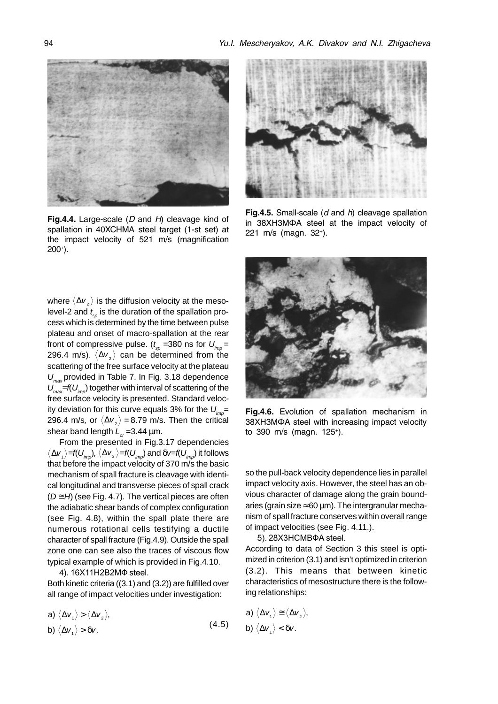

Fig.4.4. Large-scale  $(D \text{ and } H)$  cleavage kind of spallation in 40XCHMA steel target (1-st set) at the impact velocity of 521 m/s (magnification 200+).

where  $\langle \Delta v_z \rangle$  is the diffusion velocity at the mesolevel-2 and  $t_{\textrm{\tiny sp}}$  is the duration of the spallation process which is determined by the time between pulse plateau and onset of macro-spallation at the rear front of compressive pulse. ( $t_{_{\mathrm{sp}}}$  =380 ns for  $U_{_{\mathrm{imp}}}$  = 296.4 m/s).  $\langle \Delta v_z \rangle$  can be determined from the scattering of the free surface velocity at the plateau  $U_{\text{max}}$  provided in Table 7. In Fig. 3.18 dependence  $U_{\text{max}}$ =f(U<sub>imp</sub>) together with interval of scattering of the free surface velocity is presented. Standard velocity deviation for this curve equals 3% for the  $U_{\text{max}}=$ 296.4 m/s, or  $\langle \Delta v_z \rangle$  = 8.79 m/s. Then the critical shear band length  $L_{cr}$  =3.44 µm.

From the presented in Fig.3.17 dependencies  $\langle \Delta v_{_1} \rangle$  =f( $U_{imp}$ ),  $\langle \Delta v_{_2} \rangle$  =f( $U_{imp}$ ) and  $\delta v$  =f( $U_{imp}$ ) it follows that before the impact velocity of 370 m/s the basic mechanism of spall fracture is cleavage with identical longitudinal and transverse pieces of spall crack  $(D \cong H)$  (see Fig. 4.7). The vertical pieces are often the adiabatic shear bands of complex configuration (see Fig. 4.8), within the spall plate there are numerous rotational cells testifying a ductile character of spall fracture (Fig.4.9). Outside the spall zone one can see also the traces of viscous flow typical example of which is provided in Fig.4.10.

4). 16X11H2B2MФ steel.

Both kinetic criteria ((3.1) and (3.2)) are fulfilled over all range of impact velocities under investigation:

a) 
$$
\langle \Delta v_1 \rangle > \langle \Delta v_2 \rangle
$$
,  
b)  $\langle \Delta v_1 \rangle > \delta v$ . (4.5)



Fig.4.5. Small-scale  $(d \text{ and } h)$  cleavage spallation in 38XH3MΦA steel at the impact velocity of 221 m/s (magn. 32+).



Fig.4.6. Evolution of spallation mechanism in 38XH3MФA steel with increasing impact velocity to 390 m/s (magn. 125+).

so the pull-back velocity dependence lies in parallel impact velocity axis. However, the steel has an obvious character of damage along the grain boundaries (grain size  $\approx$  60 µm). The intergranular mechanism of spall fracture conserves within overall range of impact velocities (see Fig. 4.11.).

5). 28X3HCMBΦA steel.

According to data of Section 3 this steel is optimized in criterion (3.1) and isn't optimized in criterion (3.2). This means that between kinetic characteristics of mesostructure there is the following relationships:

a) 
$$
\langle \Delta v_1 \rangle \cong \langle \Delta v_2 \rangle
$$
,  
b)  $\langle \Delta v_1 \rangle < \delta v$ .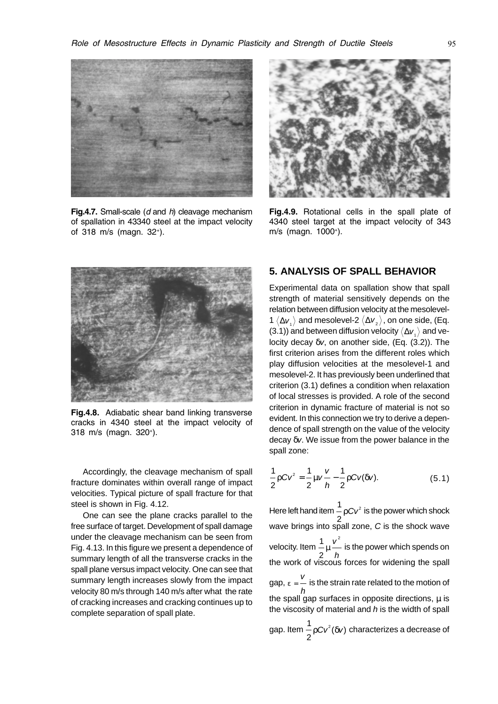

Fig.4.7. Small-scale  $(d \text{ and } h)$  cleavage mechanism of spallation in 43340 steel at the impact velocity of 318 m/s (magn. 32+).



Fig.4.9. Rotational cells in the spall plate of 4340 steel target at the impact velocity of 343 m/s (magn. 1000+).



Fig.4.8. Adiabatic shear band linking transverse cracks in 4340 steel at the impact velocity of 318 m/s (magn. 320+).

Accordingly, the cleavage mechanism of spall fracture dominates within overall range of impact velocities. Typical picture of spall fracture for that steel is shown in Fig. 4.12.

One can see the plane cracks parallel to the free surface of target. Development of spall damage under the cleavage mechanism can be seen from Fig. 4.13. In this figure we present a dependence of summary length of all the transverse cracks in the spall plane versus impact velocity. One can see that summary length increases slowly from the impact velocity 80 m/s through 140 m/s after what the rate of cracking increases and cracking continues up to complete separation of spall plate.

# **5. ANALYSIS OF SPALL BEHAVIOR**

Experimental data on spallation show that spall strength of material sensitively depends on the relation between diffusion velocity at the mesolevel-1  $\langle \Delta v_i \rangle$  and mesolevel-2  $\langle \Delta v_i \rangle$ , on one side, (Eq. (3.1)) and between diffusion velocity  $\langle \Delta v_{\mu} \rangle$  and velocity decay δv, on another side, (Eq. (3.2)). The first criterion arises from the different roles which play diffusion velocities at the mesolevel-1 and mesolevel-2. It has previously been underlined that criterion (3.1) defines a condition when relaxation of local stresses is provided. A role of the second criterion in dynamic fracture of material is not so evident. In this connection we try to derive a dependence of spall strength on the value of the velocity decay δv. We issue from the power balance in the spall zone:

$$
\frac{1}{2}\rho C v^2 = \frac{1}{2}\mu v \frac{v}{h} - \frac{1}{2}\rho C v(\delta v).
$$
 (5.1)

1<br>— Here left hand item 2  $\rho$  Cv $^2$  is the power which shock wave brings into spall zone,  $C$  is the shock wave 1<br>- velocity. Item 2 2 µ v h is the power which spends on the work of viscous forces for widening the spall gap,  $ε = \frac{v}{2}$ h is the strain rate related to the motion of the spall gap surfaces in opposite directions,  $\mu$  is the viscosity of material and  $h$  is the width of spall gap. Item 1 2 ρ $Cv^2(\delta v)$  characterizes a decrease of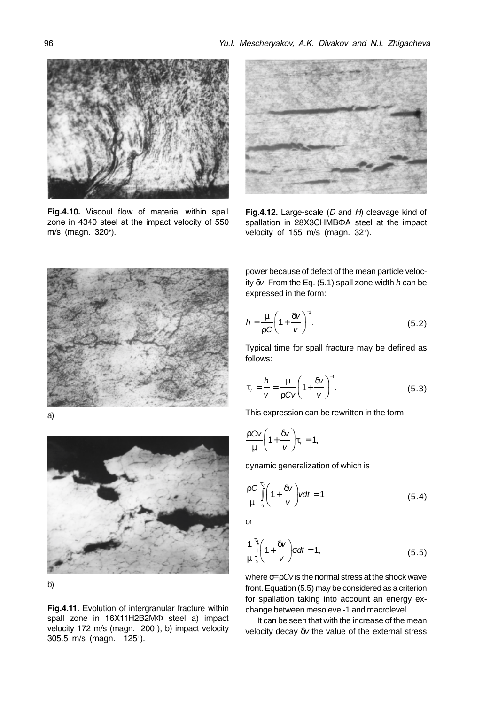

Fig.4.10. Viscoul flow of material within spall zone in 4340 steel at the impact velocity of 550 m/s (magn. 320+).







b)

Fig.4.11. Evolution of intergranular fracture within spall zone in 16X11H2B2MФ steel a) impact velocity 172 m/s (magn. 200<sup>+</sup>), b) impact velocity 305.5 m/s (magn. 125+).



Fig.4.12. Large-scale  $(D \text{ and } H)$  cleavage kind of spallation in 28X3CHMBΦA steel at the impact velocity of 155 m/s (magn. 32+).

power because of defect of the mean particle velocity  $\delta v$ . From the Eq. (5.1) spall zone width h can be expressed in the form:

$$
h = \frac{\mu}{\rho C} \left( 1 + \frac{\delta v}{v} \right)^{-1}.
$$
 (5.2)

Typical time for spall fracture may be defined as follows:

$$
\tau_{f} = \frac{h}{v} = \frac{\mu}{\rho C v} \left( 1 + \frac{\delta v}{v} \right)^{-1}.
$$
 (5.3)

This expression can be rewritten in the form:

$$
\frac{\rho C v}{\mu} \left(1 + \frac{\delta v}{v}\right) \tau_{f} = 1,
$$

dynamic generalization of which is

$$
\frac{\rho C}{\mu} \int_{0}^{\tau_{f}} \left(1 + \frac{\delta v}{v}\right) v dt = 1
$$
\n(5.4)

or

$$
\frac{1}{\mu} \int_{0}^{\tau_{f}} \left( 1 + \frac{\delta v}{v} \right) \sigma dt = 1, \qquad (5.5)
$$

where  $\sigma = pCv$  is the normal stress at the shock wave front. Equation (5.5) may be considered as a criterion for spallation taking into account an energy exchange between mesolevel-1 and macrolevel.

It can be seen that with the increase of the mean velocity decay δv the value of the external stress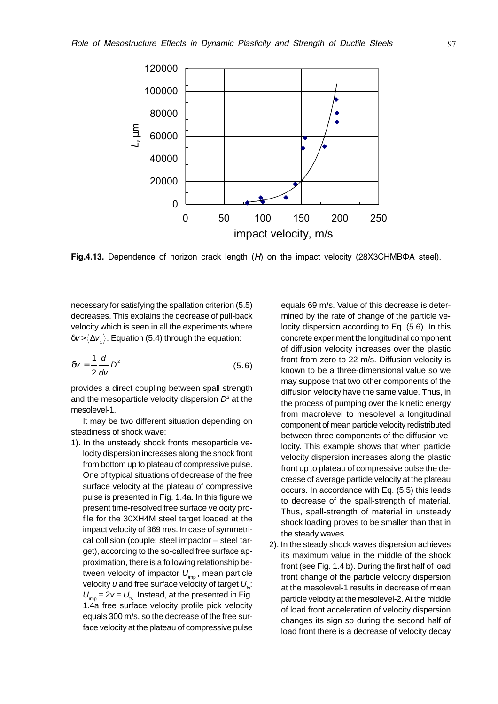

Fig.4.13. Dependence of horizon crack length  $(H)$  on the impact velocity (28X3CHMBΦA steel).

necessary for satisfying the spallation criterion (5.5) decreases. This explains the decrease of pull-back velocity which is seen in all the experiments where  $\delta v > \langle \Delta v \rangle$ . Equation (5.4) through the equation:

$$
\delta v = \frac{1}{2} \frac{d}{dv} D^2 \tag{5.6}
$$

provides a direct coupling between spall strength and the mesoparticle velocity dispersion  $D<sup>2</sup>$  at the mesolevel-1.

It may be two different situation depending on steadiness of shock wave:

1). In the unsteady shock fronts mesoparticle velocity dispersion increases along the shock front from bottom up to plateau of compressive pulse. One of typical situations of decrease of the free surface velocity at the plateau of compressive pulse is presented in Fig. 1.4a. In this figure we present time-resolved free surface velocity profile for the 30XH4M steel target loaded at the impact velocity of 369 m/s. In case of symmetrical collision (couple: steel impactor – steel target), according to the so-called free surface approximation, there is a following relationship between velocity of impactor  $U_{\text{im}}$ , mean particle velocity u and free surface velocity of target  $U_{\text{fs}}$ :  $U_{\text{imp}} = 2v = U_{\text{fs}}$ . Instead, at the presented in Fig. 1.4a free surface velocity profile pick velocity equals 300 m/s, so the decrease of the free surface velocity at the plateau of compressive pulse

equals 69 m/s. Value of this decrease is determined by the rate of change of the particle velocity dispersion according to Eq. (5.6). In this concrete experiment the longitudinal component of diffusion velocity increases over the plastic front from zero to 22 m/s. Diffusion velocity is known to be a three-dimensional value so we may suppose that two other components of the diffusion velocity have the same value. Thus, in the process of pumping over the kinetic energy from macrolevel to mesolevel a longitudinal component of mean particle velocity redistributed between three components of the diffusion velocity. This example shows that when particle velocity dispersion increases along the plastic front up to plateau of compressive pulse the decrease of average particle velocity at the plateau occurs. In accordance with Eq. (5.5) this leads to decrease of the spall-strength of material. Thus, spall-strength of material in unsteady shock loading proves to be smaller than that in the steady waves.

2). In the steady shock waves dispersion achieves its maximum value in the middle of the shock front (see Fig. 1.4 b). During the first half of load front change of the particle velocity dispersion at the mesolevel-1 results in decrease of mean particle velocity at the mesolevel-2. At the middle of load front acceleration of velocity dispersion changes its sign so during the second half of load front there is a decrease of velocity decay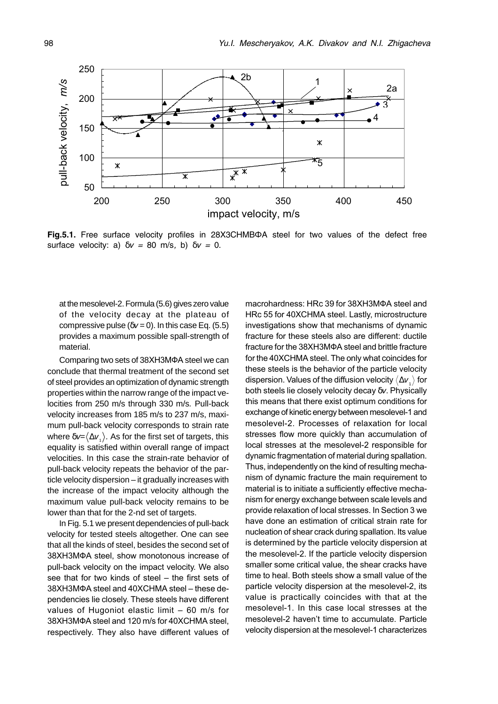

Fig.5.1. Free surface velocity profiles in 28X3CHMBΦA steel for two values of the defect free surface velocity: a)  $\delta v = 80$  m/s, b)  $\delta v = 0$ .

at the mesolevel-2. Formula (5.6) gives zero value of the velocity decay at the plateau of compressive pulse ( $\delta v = 0$ ). In this case Eq. (5.5) provides a maximum possible spall-strength of material.

Comparing two sets of 38XH3MΦA steel we can conclude that thermal treatment of the second set of steel provides an optimization of dynamic strength properties within the narrow range of the impact velocities from 250 m/s through 330 m/s. Pull-back velocity increases from 185 m/s to 237 m/s, maximum pull-back velocity corresponds to strain rate where  $\delta v = \langle \Delta v_1 \rangle$ . As for the first set of targets, this equality is satisfied within overall range of impact velocities. In this case the strain-rate behavior of pull-back velocity repeats the behavior of the particle velocity dispersion - it gradually increases with the increase of the impact velocity although the maximum value pull-back velocity remains to be lower than that for the 2-nd set of targets.

In Fig. 5.1 we present dependencies of pull-back velocity for tested steels altogether. One can see that all the kinds of steel, besides the second set of 38XH3MΦA steel, show monotonous increase of pull-back velocity on the impact velocity. We also see that for two kinds of steel - the first sets of 38XH3MΦA steel and 40XCHMA steel - these dependencies lie closely. These steels have different values of Hugoniot elastic limit  $-60$  m/s for 38XH3MΦA steel and 120 m/s for 40XCHMA steel, respectively. They also have different values of

macrohardness: HRc 39 for 38XH3MΦA steel and HRc 55 for 40XCHMA steel. Lastly, microstructure investigations show that mechanisms of dynamic fracture for these steels also are different: ductile fracture for the 38XH3MΦA steel and brittle fracture for the 40XCHMA steel. The only what coincides for these steels is the behavior of the particle velocity dispersion. Values of the diffusion velocity  $\langle \Delta v \rangle$  for both steels lie closely velocity decay  $\delta v$ . Physically this means that there exist optimum conditions for exchange of kinetic energy between mesolevel-1 and mesolevel-2. Processes of relaxation for local stresses flow more quickly than accumulation of local stresses at the mesolevel-2 responsible for dynamic fragmentation of material during spallation. Thus, independently on the kind of resulting mechanism of dynamic fracture the main requirement to material is to initiate a sufficiently effective mechanism for energy exchange between scale levels and provide relaxation of local stresses. In Section 3 we have done an estimation of critical strain rate for nucleation of shear crack during spallation. Its value is determined by the particle velocity dispersion at the mesolevel-2. If the particle velocity dispersion smaller some critical value, the shear cracks have time to heal. Both steels show a small value of the particle velocity dispersion at the mesolevel-2, its value is practically coincides with that at the mesolevel-1. In this case local stresses at the mesolevel-2 haven't time to accumulate. Particle velocity dispersion at the mesolevel-1 characterizes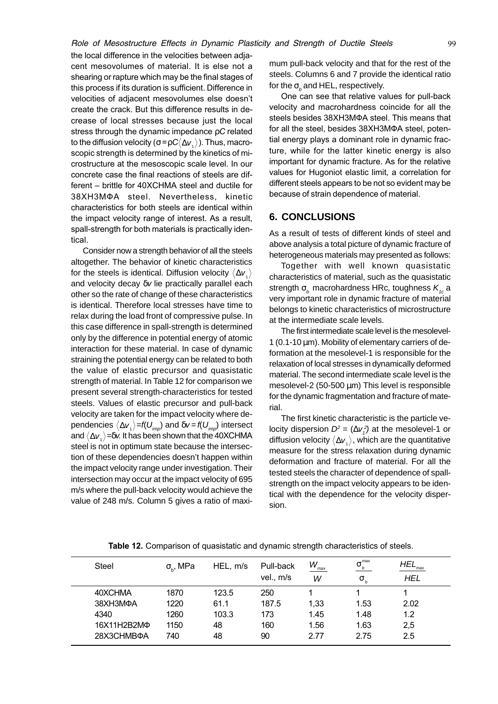the local difference in the velocities between adjacent mesovolumes of material. It is else not a shearing or rapture which may be the final stages of this process if its duration is sufficient. Difference in velocities of adjacent mesovolumes else doesn't create the crack. But this difference results in decrease of local stresses because just the local stress through the dynamic impedance  $\rho\mathit{C}$  related to the diffusion velocity ( $\sigma$ = $\rho C\langle\Delta \overline{V}_{_1}\rangle$  ). Thus, macroscopic strength is determined by the kinetics of microstructure at the mesoscopic scale level. In our concrete case the final reactions of steels are different – brittle for 40XCHMA steel and ductile for 38XH3MФA steel. Nevertheless, kinetic characteristics for both steels are identical within the impact velocity range of interest. As a result, spall-strength for both materials is practically identical.

Consider now a strength behavior of all the steels altogether. The behavior of kinetic characteristics for the steels is identical. Diffusion velocity  $\langle \Delta v \rangle$ and velocity decay δv lie practically parallel each other so the rate of change of these characteristics is identical. Therefore local stresses have time to relax during the load front of compressive pulse. In this case difference in spall-strength is determined only by the difference in potential energy of atomic interaction for these material. In case of dynamic straining the potential energy can be related to both the value of elastic precursor and quasistatic strength of material. In Table 12 for comparison we present several strength-characteristics for tested steels. Values of elastic precursor and pull-back velocity are taken for the impact velocity where dependencies  $\langle \Delta v_i \rangle = f(U_{im})$  and  $\delta v = f(U_{im})$  intersect and  $\langle \Delta v \rangle$  =δv. It has been shown that the 40XCHMA steel is not in optimum state because the intersection of these dependencies doesn't happen within the impact velocity range under investigation. Their intersection may occur at the impact velocity of 695 m/s where the pull-back velocity would achieve the value of 248 m/s. Column 5 gives a ratio of maximum pull-back velocity and that for the rest of the steels. Columns 6 and 7 provide the identical ratio for the  $\sigma_{_b}$  and HEL, respectively.

One can see that relative values for pull-back velocity and macrohardness coincide for all the steels besides 38XH3MФA steel. This means that for all the steel, besides 38XH3MФA steel, potential energy plays a dominant role in dynamic fracture, while for the latter kinetic energy is also important for dynamic fracture. As for the relative values for Hugoniot elastic limit, a correlation for different steels appears to be not so evident may be because of strain dependence of material.

# **6. CONCLUSIONS**

As a result of tests of different kinds of steel and above analysis a total picture of dynamic fracture of heterogeneous materials may presented as follows:

Together with well known quasistatic characteristics of material, such as the quasistatic strength  $\sigma_{\rm g}$  macrohardness HRc, toughness  $K_{1a}$  a very important role in dynamic fracture of material belongs to kinetic characteristics of microstructure at the intermediate scale levels.

The first intermediate scale level is the mesolevel-1 (0.1-10  $\mu$ m). Mobility of elementary carriers of deformation at the mesolevel-1 is responsible for the relaxation of local stresses in dynamically deformed material. The second intermediate scale level is the mesolevel-2 (50-500 µm) This level is responsible for the dynamic fragmentation and fracture of material.

The first kinetic characteristic is the particle velocity dispersion  $D^2 = (\Delta v_1^2)$  at the mesolevel-1 or diffusion velocity  $\langle \Delta v_i \rangle$ , which are the quantitative measure for the stress relaxation during dynamic deformation and fracture of material. For all the tested steels the character of dependence of spallstrength on the impact velocity appears to be identical with the dependence for the velocity dispersion.

| <b>Steel</b> | $\sigma_{\scriptscriptstyle{\text{b}}}$ , MPa | HEL, m/s | Pull-back<br>vel., m/s | $W_{_{\rm max}}$<br>W | _max<br>σ<br>$\sigma_{\scriptscriptstyle b}$ | HEL<br>max<br><b>HEL</b> |
|--------------|-----------------------------------------------|----------|------------------------|-----------------------|----------------------------------------------|--------------------------|
| 40XCHMA      | 1870                                          | 123.5    | 250                    |                       |                                              |                          |
| 38XH3MΦA     | 1220                                          | 61.1     | 187.5                  | 1,33                  | 1.53                                         | 2.02                     |
| 4340         | 1260                                          | 103.3    | 173                    | 1.45                  | 1.48                                         | 1.2                      |
| 16X11H2B2MФ  | 1150                                          | 48       | 160                    | 1.56                  | 1.63                                         | 2,5                      |
| 28X3CHMBOA   | 740                                           | 48       | 90                     | 2.77                  | 2.75                                         | 2.5                      |
|              |                                               |          |                        |                       |                                              |                          |

Table 12. Comparison of quasistatic and dynamic strength characteristics of steels.